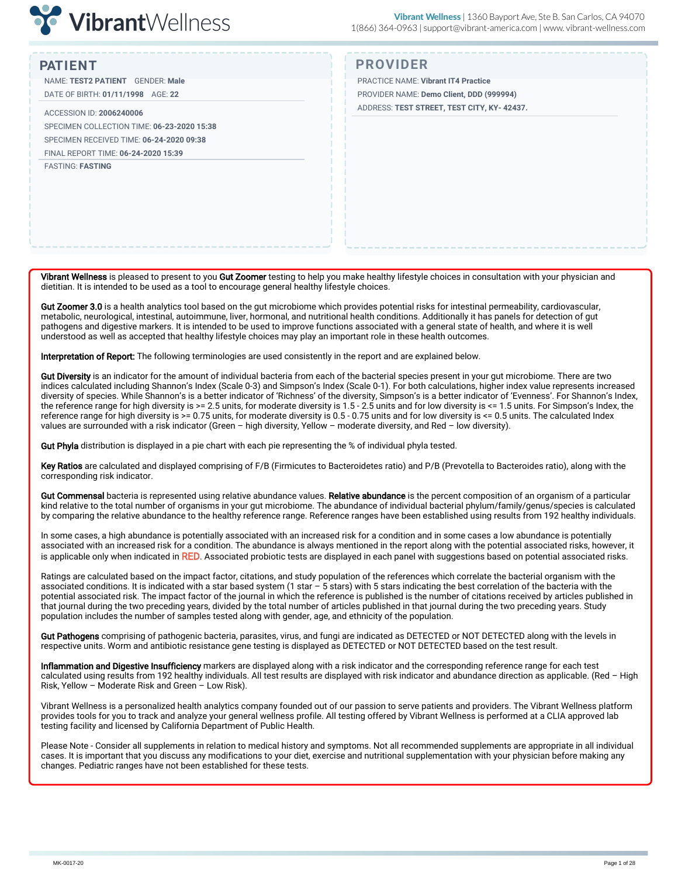

# **PATIENT PROVIDER** NAME: **TEST2 PATIENT** GENDER: **Male** DATE OF BIRTH: **01/11/1998** AGE: **22** ACCESSION ID: **2006240006** SPECIMEN COLLECTION TIME: **06-23-2020 15:38** SPECIMEN RECEIVED TIME: **06-24-2020 09:38** FINAL REPORT TIME: **06-24-2020 15:39** FASTING: **FASTING** PRACTICE NAME: **Vibrant IT4 Practice** PROVIDER NAME: **Demo Client, DDD (999994)** ADDRESS: **TEST STREET, TEST CITY, KY- 42437.**

Vibrant Wellness is pleased to present to you Gut Zoomer testing to help you make healthy lifestyle choices in consultation with your physician and dietitian. It is intended to be used as a tool to encourage general healthy lifestyle choices.

Gut Zoomer 3.0 is a health analytics tool based on the gut microbiome which provides potential risks for intestinal permeability, cardiovascular, metabolic, neurological, intestinal, autoimmune, liver, hormonal, and nutritional health conditions. Additionally it has panels for detection of gut pathogens and digestive markers. It is intended to be used to improve functions associated with a general state of health, and where it is well understood as well as accepted that healthy lifestyle choices may play an important role in these health outcomes.

Interpretation of Report: The following terminologies are used consistently in the report and are explained below.

Gut Diversity is an indicator for the amount of individual bacteria from each of the bacterial species present in your gut microbiome. There are two indices calculated including Shannon's Index (Scale 0-3) and Simpson's Index (Scale 0-1). For both calculations, higher index value represents increased diversity of species. While Shannon's is a better indicator of 'Richness' of the diversity, Simpson's is a better indicator of 'Evenness'. For Shannon's Index, the reference range for high diversity is >= 2.5 units, for moderate diversity is 1.5 - 2.5 units and for low diversity is <= 1.5 units. For Simpson's Index, the reference range for high diversity is >= 0.75 units, for moderate diversity is 0.5 - 0.75 units and for low diversity is <= 0.5 units. The calculated Index values are surrounded with a risk indicator (Green – high diversity, Yellow – moderate diversity, and Red – low diversity).

Gut Phyla distribution is displayed in a pie chart with each pie representing the % of individual phyla tested.

Key Ratios are calculated and displayed comprising of F/B (Firmicutes to Bacteroidetes ratio) and P/B (Prevotella to Bacteroides ratio), along with the corresponding risk indicator.

Gut Commensal bacteria is represented using relative abundance values. Relative abundance is the percent composition of an organism of a particular kind relative to the total number of organisms in your gut microbiome. The abundance of individual bacterial phylum/family/genus/species is calculated by comparing the relative abundance to the healthy reference range. Reference ranges have been established using results from 192 healthy individuals.

In some cases, a high abundance is potentially associated with an increased risk for a condition and in some cases a low abundance is potentially associated with an increased risk for a condition. The abundance is always mentioned in the report along with the potential associated risks, however, it is applicable only when indicated in RED. Associated probiotic tests are displayed in each panel with suggestions based on potential associated risks.

Ratings are calculated based on the impact factor, citations, and study population of the references which correlate the bacterial organism with the associated conditions. It is indicated with a star based system (1 star – 5 stars) with 5 stars indicating the best correlation of the bacteria with the potential associated risk. The impact factor of the journal in which the reference is published is the number of citations received by articles published in that journal during the two preceding years, divided by the total number of articles published in that journal during the two preceding years. Study population includes the number of samples tested along with gender, age, and ethnicity of the population.

Gut Pathogens comprising of pathogenic bacteria, parasites, virus, and fungi are indicated as DETECTED or NOT DETECTED along with the levels in respective units. Worm and antibiotic resistance gene testing is displayed as DETECTED or NOT DETECTED based on the test result.

Inflammation and Digestive Insufficiency markers are displayed along with a risk indicator and the corresponding reference range for each test calculated using results from 192 healthy individuals. All test results are displayed with risk indicator and abundance direction as applicable. (Red - High Risk, Yellow – Moderate Risk and Green – Low Risk).

Vibrant Wellness is a personalized health analytics company founded out of our passion to serve patients and providers. The Vibrant Wellness platform provides tools for you to track and analyze your general wellness profile. All testing offered by Vibrant Wellness is performed at a CLIA approved lab testing facility and licensed by California Department of Public Health.

Please Note - Consider all supplements in relation to medical history and symptoms. Not all recommended supplements are appropriate in all individual cases. It is important that you discuss any modifications to your diet, exercise and nutritional supplementation with your physician before making any changes. Pediatric ranges have not been established for these tests.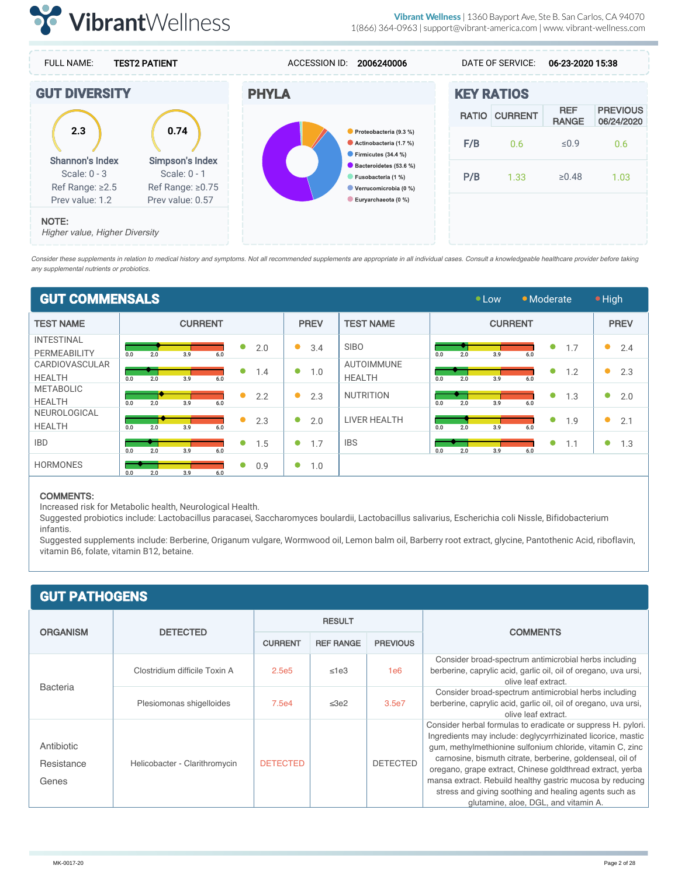



Consider these supplements in relation to medical history and symptoms. Not all recommended supplements are appropriate in all individual cases. Consult a knowledgeable healthcare provider before taking any supplemental nutrients or probiotics.

| <b>GUT COMMENSALS</b>             |     |     |                |     |                  |                  |                                    |            | $\bullet$ Low  |     | • Moderate       | $\bullet$ High |
|-----------------------------------|-----|-----|----------------|-----|------------------|------------------|------------------------------------|------------|----------------|-----|------------------|----------------|
| <b>TEST NAME</b>                  |     |     | <b>CURRENT</b> |     |                  | <b>PREV</b>      | <b>TEST NAME</b>                   |            | <b>CURRENT</b> |     |                  | <b>PREV</b>    |
| <b>INTESTINAL</b><br>PERMEABILITY | 0.0 | 2.0 | 3.9            | 6.0 | $\bullet$<br>2.0 | $\bullet$<br>3.4 | <b>SIBO</b>                        | 2.0<br>0.0 | 3.9            | 6.0 | $\bullet$<br>1.7 | 2.4<br>0       |
| CARDIOVASCULAR<br><b>HEALTH</b>   | 0.0 | 2.0 | 3.9            | 6.0 | $\bullet$<br>1.4 | $\bullet$<br>1.0 | <b>AUTOIMMUNE</b><br><b>HEALTH</b> | 2.0<br>0.0 | 3.9            | 6.0 | $\bullet$<br>1.2 | 2.3<br>0       |
| <b>METABOLIC</b><br><b>HEALTH</b> | 0.0 | 2.0 | 3.9            | 6.0 | $\bullet$<br>2.2 | $\bullet$<br>2.3 | <b>NUTRITION</b>                   | 2.0<br>0.0 | 3.9            | 6.0 | $\bullet$<br>1.3 | ●<br>2.0       |
| NEUROLOGICAL<br><b>HEALTH</b>     | 0.0 | 2.0 | 3.9            | 6.0 | $\bullet$<br>2.3 | $\bullet$<br>2.0 | <b>LIVER HEALTH</b>                | 2.0<br>0.0 | 3.9            | 6.0 | $\bullet$<br>1.9 | 2.1            |
| <b>IBD</b>                        | 0.0 | 2.0 | 3.9            | 6.0 | $\bullet$<br>1.5 | $\bullet$<br>1.7 | <b>IBS</b>                         | 2.0<br>0.0 | 3.9            | 6.0 | $\bullet$<br>1.1 | 1.3<br>0       |
| <b>HORMONES</b>                   | 0.0 | 2.0 | 3.9            | 6.0 | $\bullet$<br>0.9 | $\bullet$<br>1.0 |                                    |            |                |     |                  |                |

#### COMMENTS:

Increased risk for Metabolic health, Neurological Health.

Suggested probiotics include: Lactobacillus paracasei, Saccharomyces boulardii, Lactobacillus salivarius, Escherichia coli Nissle, Bifidobacterium infantis.

Suggested supplements include: Berberine, Origanum vulgare, Wormwood oil, Lemon balm oil, Barberry root extract, glycine, Pantothenic Acid, riboflavin, vitamin B6, folate, vitamin B12, betaine.

| <b>GUT PATHOGENS</b>              |                               |                     |                  |                 |                                                                                                                                                                                                                                                                                                                                                                                                                                                                                   |  |
|-----------------------------------|-------------------------------|---------------------|------------------|-----------------|-----------------------------------------------------------------------------------------------------------------------------------------------------------------------------------------------------------------------------------------------------------------------------------------------------------------------------------------------------------------------------------------------------------------------------------------------------------------------------------|--|
|                                   | <b>DETECTED</b>               |                     | <b>RESULT</b>    |                 | <b>COMMENTS</b>                                                                                                                                                                                                                                                                                                                                                                                                                                                                   |  |
| <b>ORGANISM</b>                   |                               | <b>CURRENT</b>      | <b>REF RANGE</b> | <b>PREVIOUS</b> |                                                                                                                                                                                                                                                                                                                                                                                                                                                                                   |  |
|                                   | Clostridium difficile Toxin A | 2.5e5               | $\leq 1e3$       | 1e6             | Consider broad-spectrum antimicrobial herbs including<br>berberine, caprylic acid, garlic oil, oil of oregano, uva ursi,<br>olive leaf extract.                                                                                                                                                                                                                                                                                                                                   |  |
| <b>Bacteria</b>                   | Plesiomonas shigelloides      | 7.5e4<br>$\leq$ 3e2 |                  | 3.5e7           | Consider broad-spectrum antimicrobial herbs including<br>berberine, caprylic acid, garlic oil, oil of oregano, uva ursi,<br>olive leaf extract.                                                                                                                                                                                                                                                                                                                                   |  |
| Antibiotic<br>Resistance<br>Genes | Helicobacter - Clarithromycin | <b>DETECTED</b>     |                  | <b>DETECTED</b> | Consider herbal formulas to eradicate or suppress H. pylori.<br>Ingredients may include: deglycyrrhizinated licorice, mastic<br>gum, methylmethionine sulfonium chloride, vitamin C, zinc<br>carnosine, bismuth citrate, berberine, goldenseal, oil of<br>oregano, grape extract, Chinese goldthread extract, yerba<br>mansa extract. Rebuild healthy gastric mucosa by reducing<br>stress and giving soothing and healing agents such as<br>glutamine, aloe, DGL, and vitamin A. |  |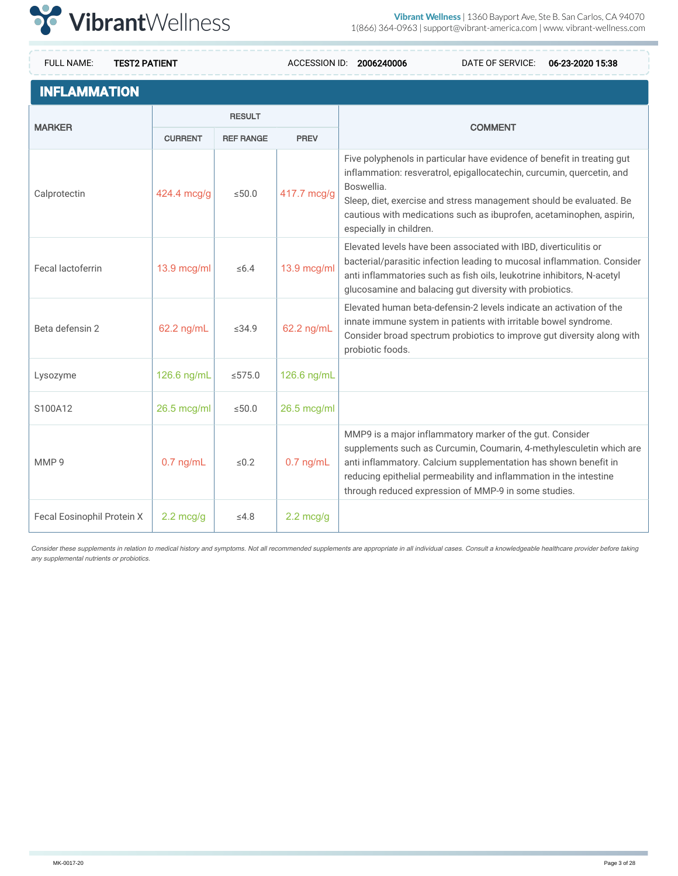

| <b>INFLAMMATION</b>        |                     |                  |                     |                                                                                                                                                                                                                                                                                                                                          |  |  |
|----------------------------|---------------------|------------------|---------------------|------------------------------------------------------------------------------------------------------------------------------------------------------------------------------------------------------------------------------------------------------------------------------------------------------------------------------------------|--|--|
| <b>MARKER</b>              |                     | <b>RESULT</b>    |                     | <b>COMMENT</b>                                                                                                                                                                                                                                                                                                                           |  |  |
|                            | <b>CURRENT</b>      | <b>REF RANGE</b> | <b>PREV</b>         |                                                                                                                                                                                                                                                                                                                                          |  |  |
| Calprotectin               | 424.4 mcg/g         | 50.0             | 417.7 mcg/g         | Five polyphenols in particular have evidence of benefit in treating gut<br>inflammation: resveratrol, epigallocatechin, curcumin, quercetin, and<br>Boswellia.<br>Sleep, diet, exercise and stress management should be evaluated. Be<br>cautious with medications such as ibuprofen, acetaminophen, aspirin,<br>especially in children. |  |  |
| <b>Fecal lactoferrin</b>   | $13.9$ mcg/ml       | $\leq 6.4$       | 13.9 mcg/ml         | Elevated levels have been associated with IBD, diverticulitis or<br>bacterial/parasitic infection leading to mucosal inflammation. Consider<br>anti inflammatories such as fish oils, leukotrine inhibitors, N-acetyl<br>glucosamine and balacing gut diversity with probiotics.                                                         |  |  |
| Beta defensin 2            | 62.2 ng/mL          | ≤34.9            | 62.2 ng/mL          | Elevated human beta-defensin-2 levels indicate an activation of the<br>innate immune system in patients with irritable bowel syndrome.<br>Consider broad spectrum probiotics to improve gut diversity along with<br>probiotic foods.                                                                                                     |  |  |
| Lysozyme                   | 126.6 ng/mL         | $\leq 575.0$     | 126.6 ng/mL         |                                                                                                                                                                                                                                                                                                                                          |  |  |
| S100A12                    | 26.5 mcg/ml         | 50.0             | 26.5 mcg/ml         |                                                                                                                                                                                                                                                                                                                                          |  |  |
| MMP <sub>9</sub>           | $0.7$ ng/mL         | $\leq 0.2$       | $0.7$ ng/mL         | MMP9 is a major inflammatory marker of the gut. Consider<br>supplements such as Curcumin, Coumarin, 4-methylesculetin which are<br>anti inflammatory. Calcium supplementation has shown benefit in<br>reducing epithelial permeability and inflammation in the intestine<br>through reduced expression of MMP-9 in some studies.         |  |  |
| Fecal Eosinophil Protein X | $2.2 \text{ mca/g}$ | $≤4.8$           | $2.2 \text{ mca/g}$ |                                                                                                                                                                                                                                                                                                                                          |  |  |

Consider these supplements in relation to medical history and symptoms. Not all recommended supplements are appropriate in all individual cases. Consult a knowledgeable healthcare provider before taking any supplemental nutrients or probiotics.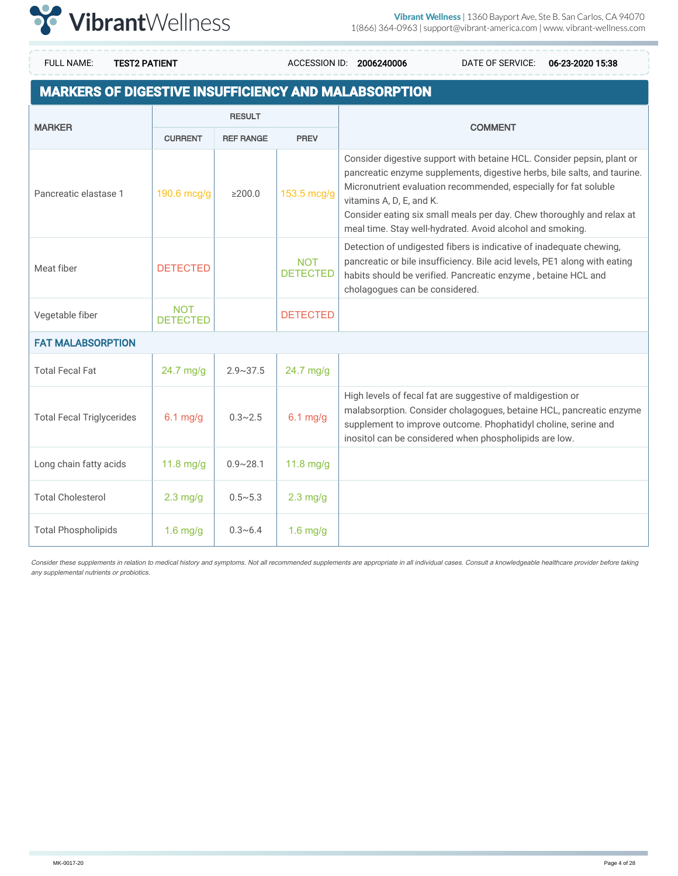

### **MARKERS OF DIGESTIVE INSUFFICIENCY AND MALABSORPTION**

| <b>MARKER</b>                    |                               | <b>RESULT</b>    |                               | <b>COMMENT</b>                                                                                                                                                                                                                                                                                                                                                                           |  |  |
|----------------------------------|-------------------------------|------------------|-------------------------------|------------------------------------------------------------------------------------------------------------------------------------------------------------------------------------------------------------------------------------------------------------------------------------------------------------------------------------------------------------------------------------------|--|--|
|                                  | <b>CURRENT</b>                | <b>REF RANGE</b> | <b>PREV</b>                   |                                                                                                                                                                                                                                                                                                                                                                                          |  |  |
| Pancreatic elastase 1            | $190.6$ mcg/g                 | $\geq 200.0$     | 153.5 mcg/g                   | Consider digestive support with betaine HCL. Consider pepsin, plant or<br>pancreatic enzyme supplements, digestive herbs, bile salts, and taurine.<br>Micronutrient evaluation recommended, especially for fat soluble<br>vitamins A, D, E, and K.<br>Consider eating six small meals per day. Chew thoroughly and relax at<br>meal time. Stay well-hydrated. Avoid alcohol and smoking. |  |  |
| Meat fiber                       | <b>DETECTED</b>               |                  | <b>NOT</b><br><b>DETECTED</b> | Detection of undigested fibers is indicative of inadequate chewing,<br>pancreatic or bile insufficiency. Bile acid levels, PE1 along with eating<br>habits should be verified. Pancreatic enzyme, betaine HCL and<br>cholagogues can be considered.                                                                                                                                      |  |  |
| Vegetable fiber                  | <b>NOT</b><br><b>DETECTED</b> |                  | <b>DETECTED</b>               |                                                                                                                                                                                                                                                                                                                                                                                          |  |  |
| <b>FAT MALABSORPTION</b>         |                               |                  |                               |                                                                                                                                                                                                                                                                                                                                                                                          |  |  |
| <b>Total Fecal Fat</b>           | 24.7 mg/g                     | $2.9 - 37.5$     | $24.7$ mg/g                   |                                                                                                                                                                                                                                                                                                                                                                                          |  |  |
| <b>Total Fecal Triglycerides</b> | $6.1$ mg/g                    | $0.3 - 2.5$      | $6.1$ mg/g                    | High levels of fecal fat are suggestive of maldigestion or<br>malabsorption. Consider cholagogues, betaine HCL, pancreatic enzyme<br>supplement to improve outcome. Phophatidyl choline, serine and<br>inositol can be considered when phospholipids are low.                                                                                                                            |  |  |
| Long chain fatty acids           | 11.8 mg/g                     | $0.9 - 28.1$     | $11.8$ mg/g                   |                                                                                                                                                                                                                                                                                                                                                                                          |  |  |
| <b>Total Cholesterol</b>         | $2.3$ mg/g                    | $0.5 - 5.3$      | $2.3$ mg/g                    |                                                                                                                                                                                                                                                                                                                                                                                          |  |  |
| <b>Total Phospholipids</b>       | $1.6$ mg/g                    | $0.3 - 6.4$      | $1.6$ mg/g                    |                                                                                                                                                                                                                                                                                                                                                                                          |  |  |

Consider these supplements in relation to medical history and symptoms. Not all recommended supplements are appropriate in all individual cases. Consult a knowledgeable healthcare provider before taking any supplemental nutrients or probiotics.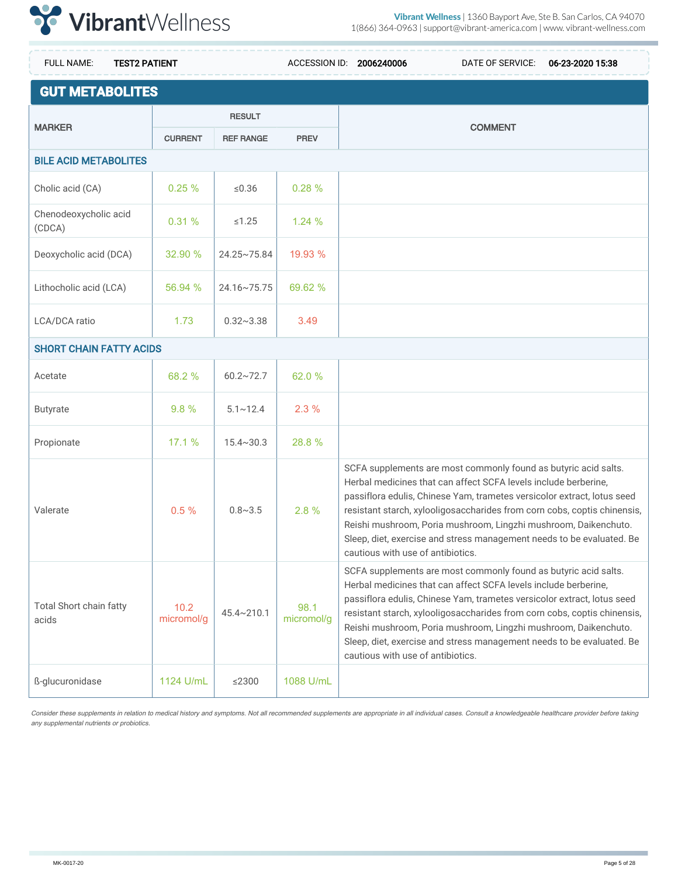

| <b>FULL NAME:</b><br><b>TEST2 PATIENT</b> |                    |                      |                    | ACCESSION ID: 2006240006          | DATE OF SERVICE:                                                                                                                                                                                                                                                                                                                                                                                                                      | 06-23-2020 15:38 |
|-------------------------------------------|--------------------|----------------------|--------------------|-----------------------------------|---------------------------------------------------------------------------------------------------------------------------------------------------------------------------------------------------------------------------------------------------------------------------------------------------------------------------------------------------------------------------------------------------------------------------------------|------------------|
| <b>GUT METABOLITES</b>                    |                    |                      |                    |                                   |                                                                                                                                                                                                                                                                                                                                                                                                                                       |                  |
| <b>MARKER</b>                             |                    | <b>RESULT</b>        |                    |                                   | <b>COMMENT</b>                                                                                                                                                                                                                                                                                                                                                                                                                        |                  |
|                                           | <b>CURRENT</b>     | <b>REF RANGE</b>     | <b>PREV</b>        |                                   |                                                                                                                                                                                                                                                                                                                                                                                                                                       |                  |
| <b>BILE ACID METABOLITES</b>              |                    |                      |                    |                                   |                                                                                                                                                                                                                                                                                                                                                                                                                                       |                  |
| Cholic acid (CA)                          | 0.25%              | $\leq 0.36$          | 0.28%              |                                   |                                                                                                                                                                                                                                                                                                                                                                                                                                       |                  |
| Chenodeoxycholic acid<br>(CDCA)           | 0.31%              | $\leq 1.25$          | 1.24%              |                                   |                                                                                                                                                                                                                                                                                                                                                                                                                                       |                  |
| Deoxycholic acid (DCA)                    | 32.90 %            | 24.25~75.84          | 19.93 %            |                                   |                                                                                                                                                                                                                                                                                                                                                                                                                                       |                  |
| Lithocholic acid (LCA)                    | 56.94 %            | $24.16 \times 75.75$ | 69.62 %            |                                   |                                                                                                                                                                                                                                                                                                                                                                                                                                       |                  |
| LCA/DCA ratio                             | 1.73               | $0.32 - 3.38$        | 3.49               |                                   |                                                                                                                                                                                                                                                                                                                                                                                                                                       |                  |
| <b>SHORT CHAIN FATTY ACIDS</b>            |                    |                      |                    |                                   |                                                                                                                                                                                                                                                                                                                                                                                                                                       |                  |
| Acetate                                   | 68.2 %             | $60.2 \times 72.7$   | 62.0 %             |                                   |                                                                                                                                                                                                                                                                                                                                                                                                                                       |                  |
| <b>Butyrate</b>                           | 9.8%               | $5.1 \sim 12.4$      | 2.3%               |                                   |                                                                                                                                                                                                                                                                                                                                                                                                                                       |                  |
| Propionate                                | 17.1%              | $15.4 \times 30.3$   | 28.8%              |                                   |                                                                                                                                                                                                                                                                                                                                                                                                                                       |                  |
| Valerate                                  | 0.5%               | $0.8 - 3.5$          | 2.8%               | cautious with use of antibiotics. | SCFA supplements are most commonly found as butyric acid salts.<br>Herbal medicines that can affect SCFA levels include berberine,<br>passiflora edulis, Chinese Yam, trametes versicolor extract, lotus seed<br>resistant starch, xylooligosaccharides from corn cobs, coptis chinensis,<br>Reishi mushroom, Poria mushroom, Lingzhi mushroom, Daikenchuto.<br>Sleep, diet, exercise and stress management needs to be evaluated. Be |                  |
| Total Short chain fatty<br>acids          | 10.2<br>micromol/g | $45.4 \times 210.1$  | 98.1<br>micromol/g | cautious with use of antibiotics. | SCFA supplements are most commonly found as butyric acid salts.<br>Herbal medicines that can affect SCFA levels include berberine.<br>passiflora edulis, Chinese Yam, trametes versicolor extract, lotus seed<br>resistant starch, xylooligosaccharides from corn cobs, coptis chinensis,<br>Reishi mushroom, Poria mushroom, Lingzhi mushroom, Daikenchuto.<br>Sleep, diet, exercise and stress management needs to be evaluated. Be |                  |
| ß-glucuronidase                           | 1124 U/mL          | $\leq$ 2300          | 1088 U/mL          |                                   |                                                                                                                                                                                                                                                                                                                                                                                                                                       |                  |

Consider these supplements in relation to medical history and symptoms. Not all recommended supplements are appropriate in all individual cases. Consult a knowledgeable healthcare provider before taking any supplemental nutrients or probiotics.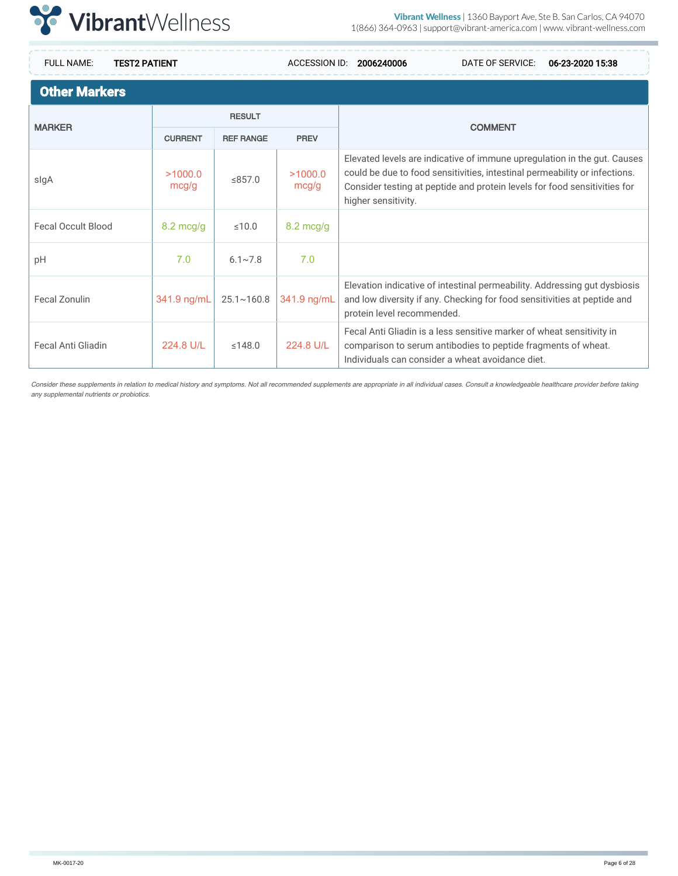

**Other Markers** MARKER RESULT CURRENT REF RANGE PREV COMMENT sIgA >1000.0  $\left\vert \begin{array}{c} 1000.0 \ \text{mcg/g} \end{array} \right\vert \quad \text{s}857.0 \quad \left\vert \begin{array}{c} \text{s}1000.0 \ \text{mcg/g} \end{array} \right.$ mcg/g Elevated levels are indicative of immune upregulation in the gut. Causes could be due to food sensitivities, intestinal permeability or infections. Consider testing at peptide and protein levels for food sensitivities for higher sensitivity. Fecal Occult Blood 8.2 mcg/g ≤10.0 8.2 mcg/g pH 7.0 6.1~7.8 7.0 Fecal Zonulin 241.9 ng/mL 25.1~160.8 341.9 ng/mL Elevation indicative of intestinal permeability. Addressing gut dysbiosis and low diversity if any. Checking for food sensitivities at peptide and protein level recommended. Fecal Anti Gliadin | 224.8 U/L | ≤148.0 | 224.8 U/L Fecal Anti Gliadin is a less sensitive marker of wheat sensitivity in comparison to serum antibodies to peptide fragments of wheat. Individuals can consider a wheat avoidance diet. FULL NAME: TEST2 PATIENT **ACCESSION ID: 2006240006** DATE OF SERVICE: 06-23-2020 15:38

Consider these supplements in relation to medical history and symptoms. Not all recommended supplements are appropriate in all individual cases. Consult a knowledgeable healthcare provider before taking any supplemental nutrients or probiotics.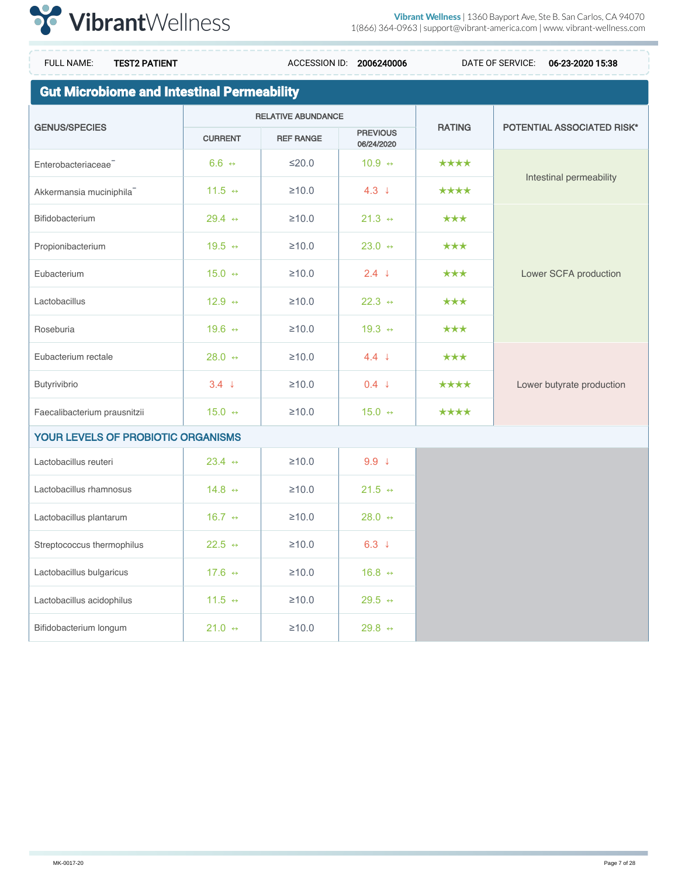

# **Gut Microbiome and Intestinal Permeability**

Lactobacillus acidophilus  $\begin{array}{|c|c|c|c|c|c|}\n\hline\n\text{11.5 } & \leftrightarrow & \mathbf{210.0} & \mathbf{29.5 } & \leftrightarrow \\
\hline\n\end{array}$ 

Bifidobacterium longum  $21.0 \leftrightarrow$  21.0  $\leftrightarrow$  210.0 29.8  $\leftrightarrow$ 

|                                      |                        | <b>RELATIVE ABUNDANCE</b> |                               |               |                            |  |
|--------------------------------------|------------------------|---------------------------|-------------------------------|---------------|----------------------------|--|
| <b>GENUS/SPECIES</b>                 | <b>CURRENT</b>         | <b>REF RANGE</b>          | <b>PREVIOUS</b><br>06/24/2020 | <b>RATING</b> | POTENTIAL ASSOCIATED RISK* |  |
| Enterobacteriaceae <sup>-</sup>      | $6.6 \leftrightarrow$  | $≤20.0$                   | 10.9 $\leftrightarrow$        | ****          | Intestinal permeability    |  |
| Akkermansia muciniphila <sup>-</sup> | 11.5 $\leftrightarrow$ | $\geq 10.0$               | $4.3 \downarrow$              | ****          |                            |  |
| Bifidobacterium                      | 29.4 $\leftrightarrow$ | $\geq 10.0$               | 21.3 $\leftrightarrow$        | ***           |                            |  |
| Propionibacterium                    | 19.5 $\leftrightarrow$ | $\geq 10.0$               | 23.0 $\leftrightarrow$        | ***           |                            |  |
| Eubacterium                          | 15.0 $\leftrightarrow$ | $\geq 10.0$               | $2.4 \downarrow$              | ***           | Lower SCFA production      |  |
| Lactobacillus                        | 12.9 $\leftrightarrow$ | ≥10.0                     | 22.3 $\leftrightarrow$        | ***           |                            |  |
| Roseburia                            | 19.6 $\leftrightarrow$ | $\geq 10.0$               | 19.3 $\leftrightarrow$        | ***           |                            |  |
| Eubacterium rectale                  | 28.0 $\leftrightarrow$ | $\geq 10.0$               | $4.4 \downarrow$              | ***           |                            |  |
| Butyrivibrio                         | $3.4 \downarrow$       | ≥10.0                     | $0.4 \downarrow$              | ****          | Lower butyrate production  |  |
| Faecalibacterium prausnitzii         | 15.0 $\leftrightarrow$ | $\geq 10.0$               | 15.0 $\leftrightarrow$        | ****          |                            |  |
| YOUR LEVELS OF PROBIOTIC ORGANISMS   |                        |                           |                               |               |                            |  |
| Lactobacillus reuteri                | 23.4 $\leftrightarrow$ | $\geq 10.0$               | $9.9+$                        |               |                            |  |
| Lactobacillus rhamnosus              | 14.8 $\leftrightarrow$ | $\geq 10.0$               | 21.5 $\leftrightarrow$        |               |                            |  |
| Lactobacillus plantarum              | 16.7 $\Leftrightarrow$ | $\geq 10.0$               | 28.0 $\leftrightarrow$        |               |                            |  |
| Streptococcus thermophilus           | 22.5 $\leftrightarrow$ | $\geq 10.0$               | $6.3 +$                       |               |                            |  |
| Lactobacillus bulgaricus             | 17.6 $\leftrightarrow$ | $\geq 10.0$               | 16.8 $\leftrightarrow$        |               |                            |  |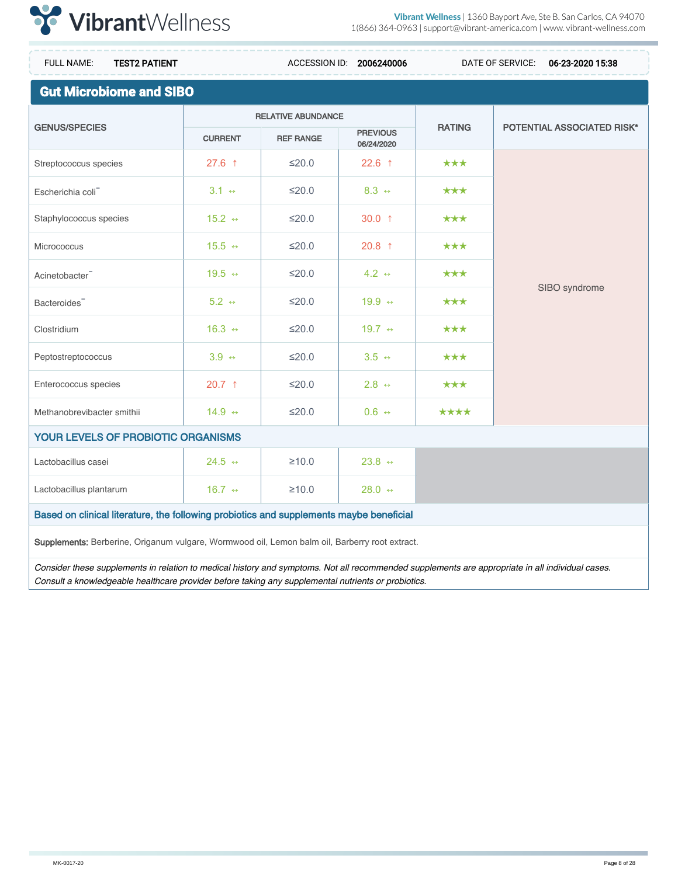

m.

| <b>FULL NAME:</b><br><b>TEST2 PATIENT</b>                                                                                                        |                        | ACCESSION ID: 2006240006<br>DATE OF SERVICE:<br>06-23-2020 15:38 |                               |                   |                                   |  |  |
|--------------------------------------------------------------------------------------------------------------------------------------------------|------------------------|------------------------------------------------------------------|-------------------------------|-------------------|-----------------------------------|--|--|
| <b>Gut Microbiome and SIBO</b>                                                                                                                   |                        |                                                                  |                               |                   |                                   |  |  |
| <b>GENUS/SPECIES</b>                                                                                                                             |                        | <b>RELATIVE ABUNDANCE</b>                                        |                               | <b>RATING</b>     | <b>POTENTIAL ASSOCIATED RISK*</b> |  |  |
|                                                                                                                                                  | <b>CURRENT</b>         | <b>REF RANGE</b>                                                 | <b>PREVIOUS</b><br>06/24/2020 |                   |                                   |  |  |
| Streptococcus species                                                                                                                            | 27.6 $†$               | $≤20.0$                                                          | 22.6 $†$                      | $\star\star\star$ |                                   |  |  |
| Escherichia coli <sup>-</sup>                                                                                                                    | $3.1 \leftrightarrow$  | $≤20.0$                                                          | $8.3 \leftrightarrow$         | ***               |                                   |  |  |
| Staphylococcus species                                                                                                                           | 15.2 $\leftrightarrow$ | $≤20.0$                                                          | 30.0 $†$                      | ***               |                                   |  |  |
| <b>Micrococcus</b>                                                                                                                               | 15.5 $\leftrightarrow$ | $\leq$ 20.0                                                      | 20.8 $†$                      | ***               |                                   |  |  |
| Acinetobacter <sup>-</sup>                                                                                                                       | 19.5 $\leftrightarrow$ | $≤20.0$                                                          | $4.2 \leftrightarrow$         | $\star\star\star$ |                                   |  |  |
| Bacteroides <sup>-</sup>                                                                                                                         | $5.2 \leftrightarrow$  | $≤20.0$                                                          | 19.9 $\leftrightarrow$        | ***               | SIBO syndrome                     |  |  |
| Clostridium                                                                                                                                      | 16.3 $\leftrightarrow$ | $\leq$ 20.0                                                      | 19.7 $\leftrightarrow$        | $\star\star\star$ |                                   |  |  |
| Peptostreptococcus                                                                                                                               | $3.9 \leftrightarrow$  | $≤20.0$                                                          | $3.5 \leftrightarrow$         | ***               |                                   |  |  |
| Enterococcus species                                                                                                                             | 20.7 $\uparrow$        | $\leq$ 20.0                                                      | 2.8 $\leftrightarrow$         | ***               |                                   |  |  |
| Methanobrevibacter smithii                                                                                                                       | 14.9 $\leftrightarrow$ | $\leq$ 20.0                                                      | $0.6 \leftrightarrow$         | ****              |                                   |  |  |
| YOUR LEVELS OF PROBIOTIC ORGANISMS                                                                                                               |                        |                                                                  |                               |                   |                                   |  |  |
| Lactobacillus casei                                                                                                                              | 24.5 $\leftrightarrow$ | $\geq 10.0$                                                      | 23.8 $\leftrightarrow$        |                   |                                   |  |  |
| Lactobacillus plantarum                                                                                                                          | 16.7 $\Leftrightarrow$ | $\geq 10.0$                                                      | 28.0 $\leftrightarrow$        |                   |                                   |  |  |
| Based on clinical literature, the following probiotics and supplements maybe beneficial                                                          |                        |                                                                  |                               |                   |                                   |  |  |
| Supplements: Berberine, Origanum vulgare, Wormwood oil, Lemon balm oil, Barberry root extract.                                                   |                        |                                                                  |                               |                   |                                   |  |  |
| Consider these supplements in relation to medical history and symptoms. Not all recommended supplements are appropriate in all individual cases. |                        |                                                                  |                               |                   |                                   |  |  |

Consult a knowledgeable healthcare provider before taking any supplemental nutrients or probiotics.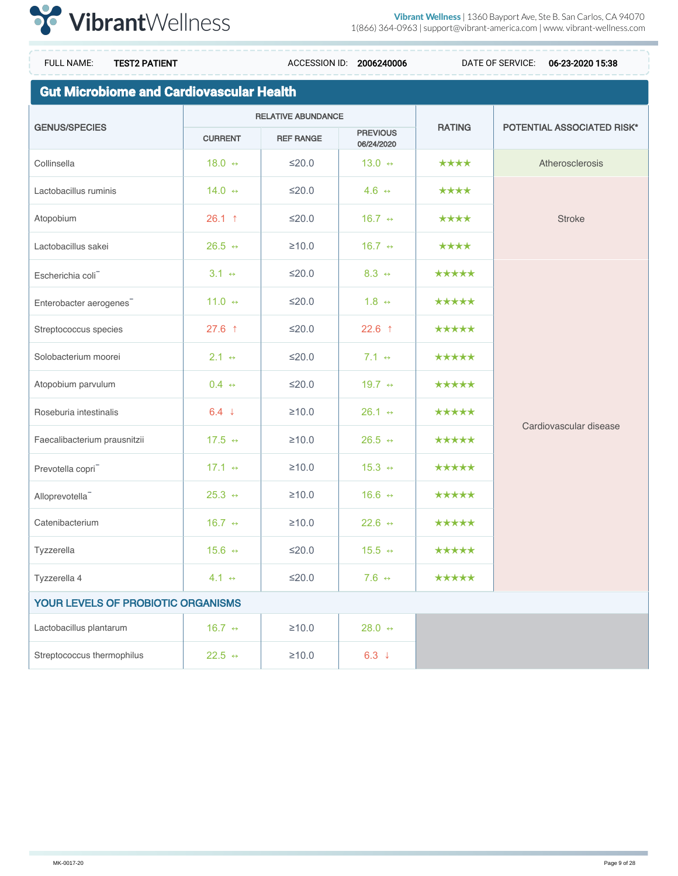

**Gut Microbiome and Cardiovascular Health** GENUS/SPECIES RELATIVE ABUNDANCE CURRENT REF RANGE PREVIOUS 06/24/2020 RATING | POTENTIAL ASSOCIATED RISK\* Collinsella 18.0 ↔  $\vert$  18.0 ↔  $\vert$  ≤20.0  $\vert$  13.0 ↔  $\star\star\star\star$   $\star$  Atherosclerosis Lactobacillus ruminis  $14.0 \leftrightarrow 14.0 \leftrightarrow 520.0$   $4.6 \leftrightarrow 14.6 \leftrightarrow 14.6 \leftrightarrow 14.6 \leftrightarrow 14.6 \leftrightarrow 14.6 \leftrightarrow 14.6 \leftrightarrow 14.6 \leftrightarrow 14.6 \leftrightarrow 14.6 \leftrightarrow 14.6 \leftrightarrow 14.6 \leftrightarrow 14.6 \leftrightarrow 14.6 \leftrightarrow 14.6 \leftrightarrow 14.6 \leftrightarrow 14.6 \leftrightarrow 14.6 \leftrightarrow 14.6 \leftrightarrow 14.6 \leftrightarrow 14.6 \leftrightarrow 14.6 \leftrightarrow 14.6 \leftrightarrow 14.6 \leftrightarrow 14.6 \leftrightarrow 14$ Atopobium 26.1 ↑ ≤20.0 16.7 ↔ ★★★★ Stroke Lactobacillus sakei 26.5 ↔ ≥10.0 16.7 ↔ ★★★★ Escherichia coli⁻ 3.1 ↔ ≤20.0 8.3 ↔ ★★★★★ Cardiovascular disease Enterobacter aerogenes  $\begin{vmatrix} 11.0 & \leftrightarrow & \end{vmatrix}$   $\leq 20.0$   $\begin{vmatrix} 1.8 & \leftrightarrow & \end{vmatrix}$   $\star \star \star \star \star$ Streptococcus species 27.6 ↑  $\leq 20.0$  22.6 ↑  $\star \star \star \star \star$ Solobacterium moorei 2.1 ↔  $\leq 20.0$  7.1 ↔ ★★★★★ Atopobium parvulum 0.4 ↔ ≤20.0 19.7 ↔ ★★★★★ Roseburia intestinalis 6.4 ↓ ≥10.0 26.1 ↔ ★★★★★ Faecalibacterium prausnitzii  $\vert$  17.5 ↔  $\vert$  210.0  $\vert$  26.5 ↔  $\star \star \star \star \star$ Prevotella copri  $\begin{vmatrix} 17.1 & \leftrightarrow & 210.0 & 15.3 & \leftrightarrow & \star \star \star \star \star \end{vmatrix}$   $\star \star \star \star \star$ Alloprevotella⁻ 25.3 ↔ ≥10.0 16.6 ↔ ★★★★★ Catenibacterium 16.7 ↔  $\geq 10.0$  22.6 ↔ ★★★★★ Tyzzerella 15.6 ↔ ≤20.0 15.5 ↔ ★★★★★ Tyzzerella 4 4.1 ↔ ≤20.0 7.6 ↔ ★★★★★ YOUR LEVELS OF PROBIOTIC ORGANISMS Lactobacillus plantarum  $16.7 \leftrightarrow 16.7 \leftrightarrow 210.0$  28.0 ↔ Streptococcus thermophilus  $22.5 \leftrightarrow$  22.5  $\leftrightarrow$  210.0 6.3 ↓ FULL NAME: TEST2 PATIENT CHECKSION ID: 2006240006 DATE OF SERVICE: 06-23-2020 15:38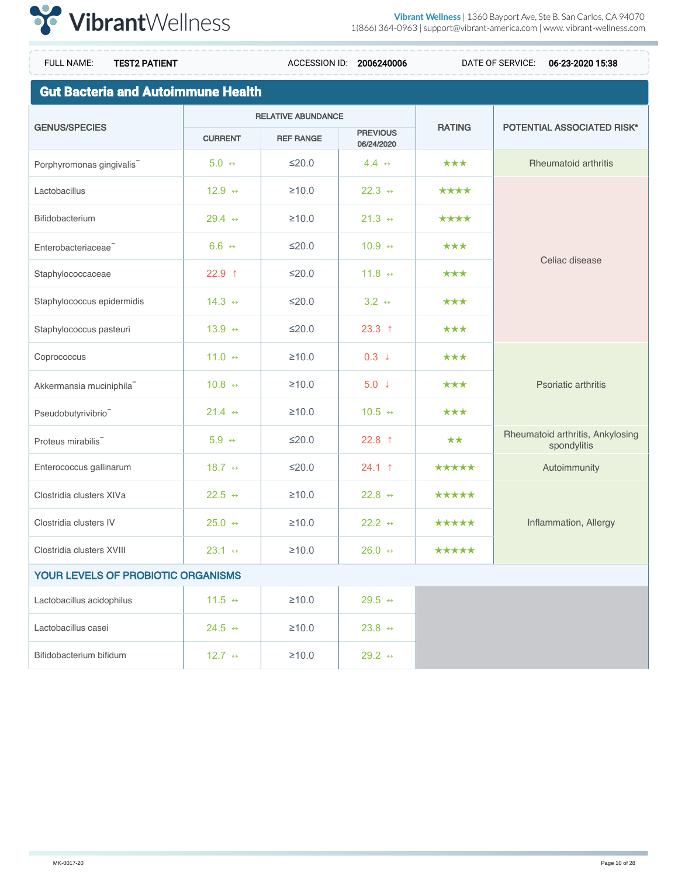

**Gut Bacteria and Autoimmune Health** GENUS/SPECIES RELATIVE ABUNDANCE CURRENT REF RANGE PREVIOUS 06/24/2020 RATING | POTENTIAL ASSOCIATED RISK\* Porphyromonas gingivalis **Fig.er**  $\begin{vmatrix} 5.0 & \leftrightarrow & \end{vmatrix}$   $\leq 20.0$  4.4  $\leftrightarrow$  **+**  $\star\star$  Rheumatoid arthritis Lactobacillus 12.9 ↔ ≥10.0 22.3 ↔ ★★★★ Celiac disease Bifidobacterium 29.4 ↔ ≥10.0 21.3 ↔ ★★★★ Enterobacteriaceae⁻ 6.6 ↔ ≤20.0 10.9 ↔ ★★★ Staphylococcaceae 22.9 ↑  $\leq 20.0$  11.8 ↔  $\star \star \star$ Staphylococcus epidermidis  $14.3 \leftrightarrow$   $\leq 20.0$   $3.2 \leftrightarrow$   $\star \star \star$ Staphylococcus pasteuri  $\begin{vmatrix} 13.9 & \rightarrow & \end{vmatrix}$  ≤20.0  $\begin{vmatrix} 23.3 & 1 & \end{vmatrix}$  \*\*\* Coprococcus  $\vert$  11.0 ↔  $\vert$  210.0  $\vert$  0.3 ↓  $\vert$   $\star\star\star$ Akkermansia muciniphila⁻ 10.8 ↔ ≥10.0 5.0 ↓ ★★★ Psoriatic arthritis Pseudobutyrivibrio⁻ 21.4 ↔ ≥10.0 10.5 ↔ ★★★ FULL NAME: TEST2 PATIENT CHECKSION ID: 2006240006 DATE OF SERVICE: 06-23-2020 15:38

#### YOUR LEVELS OF PROBIOTIC ORGANISMS

| Lactobacillus acidophilus | 11.5 $\leftrightarrow$ | $\geq 10.0$ | 29.5 $\leftrightarrow$ |
|---------------------------|------------------------|-------------|------------------------|
| Lactobacillus casei       | 24.5 $\leftrightarrow$ | $\geq 10.0$ | 23.8 $\leftrightarrow$ |
| Bifidobacterium bifidum   | 12.7 $\leftrightarrow$ | $\geq 10.0$ | 29.2 $\leftrightarrow$ |

Proteus mirabilis **Froteus mirabilitis, Ankylosing**  $\star\star$  Rheumatoid arthritis, Ankylosing

Enterococcus gallinarum  $\begin{vmatrix} 18.7 & \rightarrow & \end{vmatrix}$  ≤20.0 24.1 ↑  $\star \star \star \star \star$  Autoimmunity

Clostridia clusters IV 25.0 ↔ ≥10.0 22.2 ↔ ★★★★★ Inflammation, Allergy

Clostridia clusters XIVa  $22.5 \leftrightarrow 210.0$   $22.8 \leftrightarrow 34.4$ 

Clostridia clusters XVIII 23.1 ↔ ≥10.0 26.0 ↔ ★★★★★

spondylitis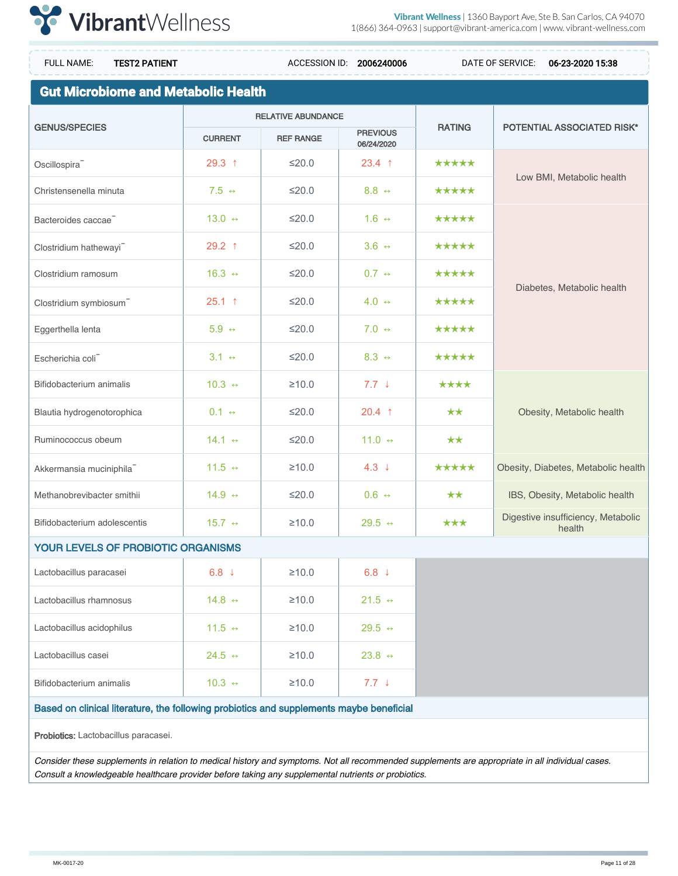

**Gut Microbiome and Metabolic Health** GENUS/SPECIES RELATIVE ABUNDANCE CURRENT REF RANGE PREVIOUS 06/24/2020 RATING | POTENTIAL ASSOCIATED RISK\* Oscillospira¯ | 29.3 ↑ | ≤20.0 | 23.4 ↑ | <del>★★★★★</del> Low BMI, Metabolic health Christensenella minuta  $7.5 \leftrightarrow$   $\leq 20.0$  8.8 ↔ ★★★★★ Bacteroides caccae⁻ 13.0 ↔ ≤20.0 1.6 ↔ ★★★★★ Diabetes, Metabolic health Clostridium hathewayi 29.2 ↑  $\leq 20.0$  3.6 ↔  $\star \star \star \star \star$ Clostridium ramosum 16.3 ↔ ≤20.0 0.7 ↔ ★★★★★ Clostridium symbiosum⁻ 25.1 ↑ ≤20.0 4.0 ↔ ★★★★★ Eggerthella lenta 5.9 ↔ ≤20.0 7.0 ↔ ★★★★★ Escherichia coli⁻ 3.1 ↔ ≤20.0 8.3 ↔ ★★★★★ Bifidobacterium animalis  $\vert$  10.3 ↔  $\vert$  ≥10.0  $\vert$  7.7 ↓  $\vert$  ★★★★ Blautia hydrogenotorophica  $\begin{vmatrix} 0.1 & \rightarrow & \end{vmatrix}$   $\leq 20.0$   $\begin{vmatrix} 20.4 & \uparrow & \end{vmatrix}$   $\star \star$  Obesity, Metabolic health Ruminococcus obeum  $14.1 \leftrightarrow$   $\leq 20.0$  11.0  $\leftrightarrow$   $\star \star$ Akkermansia muciniphila⁻ 11.5 ↔ ≥10.0 4.3 ↓ ★★★★★ Obesity, Diabetes, Metabolic health Methanobrevibacter smithii  $14.9 \leftrightarrow 420.0 \qquad 0.6 \leftrightarrow 4 \star 10.8$ , Obesity, Metabolic health Bifidobacterium adolescentis  $15.7 \leftrightarrow 210.0$   $29.5 \leftrightarrow 29.5 \leftrightarrow 0.0$  Digestive insufficiency, Metabolic health YOUR LEVELS OF PROBIOTIC ORGANISMS Lactobacillus paracasei 6.8 ↓ 8.8 ↓ 210.0 6.8 ↓ Lactobacillus rhamnosus  $14.8 \leftrightarrow 210.0$  21.5  $\leftrightarrow$ Lactobacillus acidophilus  $11.5 \leftrightarrow 210.0$  29.5  $\leftrightarrow$ Lactobacillus casei  $24.5 \leftrightarrow 24.5 \leftrightarrow 210.0$  23.8  $\leftrightarrow$ Bifidobacterium animalis  $10.3 \leftrightarrow 210.0$  7.7 ↓ Based on clinical literature, the following probiotics and supplements maybe beneficial FULL NAME: TEST2 PATIENT **ACCESSION ID: 2006240006** DATE OF SERVICE: 06-23-2020 15:38

Probiotics: Lactobacillus paracasei.

Consider these supplements in relation to medical history and symptoms. Not all recommended supplements are appropriate in all individual cases. Consult a knowledgeable healthcare provider before taking any supplemental nutrients or probiotics.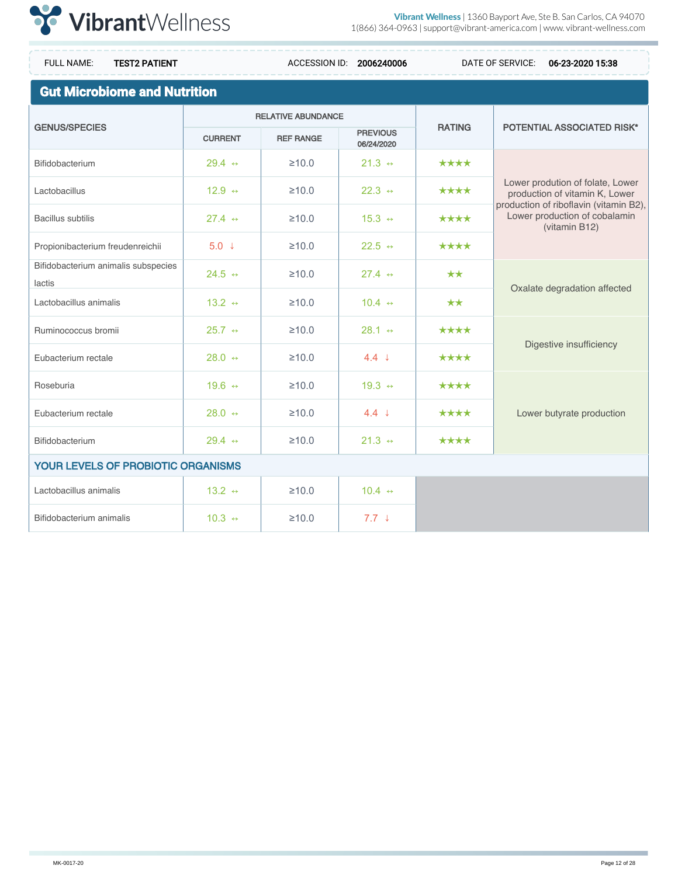

**Gut Microbiome and Nutrition** GENUS/SPECIES RELATIVE ABUNDANCE CURRENT REF RANGE PREVIOUS 06/24/2020 RATING | POTENTIAL ASSOCIATED RISK\* Bifidobacterium 29.4 ↔ ≥10.0 21.3 ↔ ★★★★ Lower prodution of folate, Lower production of vitamin K, Lower production of riboflavin (vitamin B2), Lower production of cobalamin (vitamin B12) Lactobacillus 12.9 ↔ ≥10.0 22.3 ↔ ★★★★ Bacillus subtilis  $27.4 \leftrightarrow$   $\geq 10.0$   $\uparrow$  15.3 ↔  $\star \star \star \star$ Propionibacterium freudenreichii  $\vert$  5.0 ↓  $\vert$  ≥10.0  $\vert$  22.5 ↔  $\star \star \star \star$ Bifidobacterium animalis subspecies lactis  $24.5 \leftrightarrow$   $\geq 10.0$   $27.4 \leftrightarrow$   $\rightarrow \star \star$ Oxalate degradation affected Lactobacillus animalis  $\vert$  13.2 ↔  $\vert$  210.0  $\vert$  10.4 ↔  $\star \star$ Ruminococcus bromii  $25.7 \leftrightarrow$  210.0  $28.1 \leftrightarrow$  ★★★★ Digestive insufficiency Eubacterium rectale  $28.0 \leftrightarrow$   $\geq 10.0$  4.4  $\downarrow$   $\star \star \star \star$ Roseburia 19.6 ↔ ≥10.0 19.3 ↔ ★★★★ Eubacterium rectale 28.0 ↔ ≥10.0 4.4 ↓ ★★★★ Lower butyrate production Bifidobacterium 29.4 ↔ ≥10.0 21.3 ↔ ★★★★ YOUR LEVELS OF PROBIOTIC ORGANISMS Lactobacillus animalis  $13.2 \leftrightarrow 210.0$  10.4  $\leftrightarrow$ Bifidobacterium animalis 10.3 ↔ ≥10.0 7.7 ↓ FULL NAME: TEST2 PATIENT **ACCESSION ID: 2006240006** DATE OF SERVICE: 06-23-2020 15:38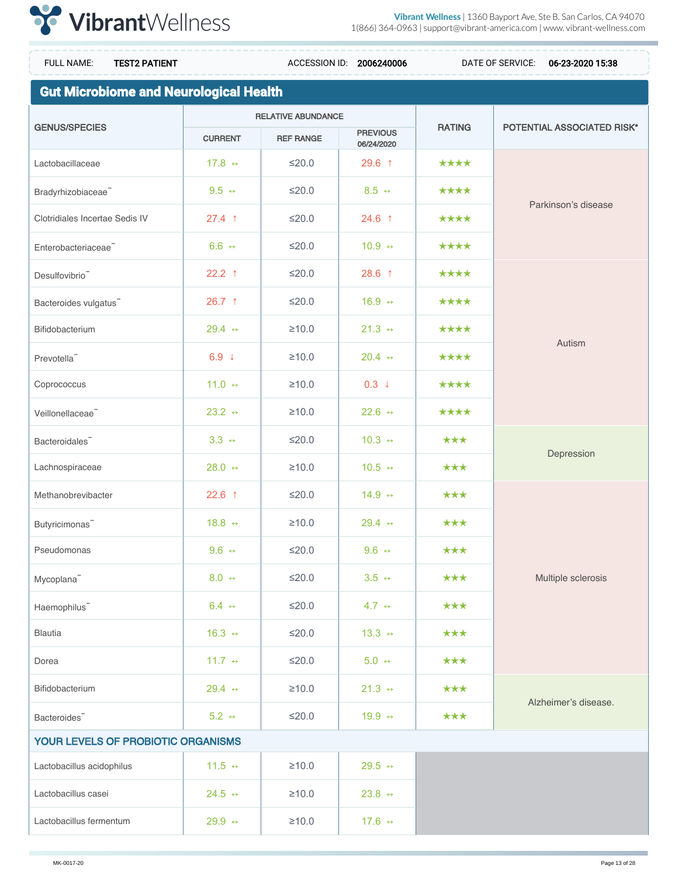

**Gut Microbiome and Neurological Health** GENUS/SPECIES RELATIVE ABUNDANCE CURRENT REF RANGE PREVIOUS 06/24/2020 RATING | POTENTIAL ASSOCIATED RISK\* Lactobacillaceae 17.8 ↔  $\leq 20.0$  29.6 ↑  $\star \star \star \star$ Parkinson's disease Bradyrhizobiaceae⁻ 9.5 ↔ ≤20.0 8.5 ↔ ★★★★ Clotridiales Incertae Sedis IV 27.4 ↑ ≤20.0 24.6 ↑ ★★★★ Enterobacteriaceae⁻ 6.6 ↔ ≤20.0 10.9 ↔ ★★★★ Desulfovibrio⁻ 22.2 ↑ ≤20.0 28.6 ↑ ★★★★ Autism Bacteroides vulgatus **becaus a** 26.7 ↑ S20.0 16.9 ↔ ★★★★ Bifidobacterium 29.4 ↔  $\geq 20.0$  21.3 ↔ ★★★★ Prevotella⁻ 6.9 ↓ ≥10.0 20.4 ↔ ★★★★ Coprococcus  $11.0 \leftrightarrow$   $\geq 10.0$  0.3 ↓  $\star \star \star \star$ Veillonellaceae⁻ 23.2 ↔ ≥10.0 22.6 ↔ ★★★★ Bacteroidales **b** 3.3 ↔  $\leq 20.0$  10.3 ↔  $\star \star \star$ Depression Lachnospiraceae 28.0 ↔  $\rightarrow$  28.0 ↔  $\rightarrow$  210.0  $\rightarrow$  10.5 ↔  $\rightarrow$   $\star\star\star$ Methanobrevibacter 22.6 ↑ ≤20.0 14.9 ↔ ★★★ Multiple sclerosis Butyricimonas **18.8** →  $\left| \begin{array}{ccc} 18.8 & \leftarrow & \left| & 20.0 & \right| & 29.4 & \leftarrow & \right| & \star \star \star \end{array} \right|$ Pseudomonas 9.6 ↔ ≤20.0 9.6 ↔ ★★★ Mycoplana¯  $\begin{array}{|c|c|c|c|c|}\n\hline\n8.0 & \leftrightarrow & \quad \text{S.0} & \rightarrow & \quad \text{S.5} & \leftrightarrow & \quad \text{S.5} & \rightarrow \quad \text{S.6} & \rightarrow & \quad \text{S.7} & \rightarrow & \quad \text{S.8} & \rightarrow & \quad \text{S.7} & \rightarrow & \quad \text{S.8} & \rightarrow & \quad \text{S.9} & \rightarrow & \quad \text{S.1} & \rightarrow & \quad \text{S.2} & \rightarrow & \quad \text{S.3} & \rightarrow & \quad \text{S.4} & \rightarrow & \quad \text{S.5} & \rightarrow$ Haemophilus  $\begin{array}{|c|c|c|c|c|c|}\n\hline\n&6.4 & \leftrightarrow & \leq\hline\n20.0 & & 4.7 & \leftrightarrow & \star\star\star\end{array}$ Blautia 16.3 ↔ ≤20.0 13.3 ↔ ★★★ Dorea 11.7 ↔  $\vert$  ≤20.0  $\vert$  5.0 ↔  $\star\star\star$ Bifidobacterium 29.4 ↔  $\rightarrow$  20.0 21.3 ↔ ★★★ Alzheimer's disease. Bacteroides **bacteroides b**  $\rightarrow$  5.2 ↔  $\rightarrow$   $\rightarrow$  5.2 ↔  $\rightarrow$  5.2 ↔  $\rightarrow$  5.2 ↔  $\rightarrow$  5.2 ↔  $\rightarrow$  5.2 ↔  $\rightarrow$  5.2 ↔  $\rightarrow$  5.2 ↔  $\rightarrow$  5.2 ↔  $\rightarrow$  5.2 ↔  $\rightarrow$  5.2 ↔  $\rightarrow$  5.2 ↔  $\rightarrow$  5.2 ↔  $\rightarrow$  5.2 ↔  $\rightarrow$  5.2 ↔  $\rightarrow$  5.2 ↔ 5.2 ↔ 5.2 YOUR LEVELS OF PROBIOTIC ORGANISMS Lactobacillus acidophilus  $11.5 \leftrightarrow 210.0$  29.5  $\leftrightarrow$ Lactobacillus casei  $24.5 \leftrightarrow$   $\geq 10.0$   $23.8 \leftrightarrow$ Lactobacillus fermentum  $29.9 \leftrightarrow 210.0$  17.6  $\leftrightarrow$ FULL NAME: TEST2 PATIENT CHECKSION ID: 2006240006 DATE OF SERVICE: 06-23-2020 15:38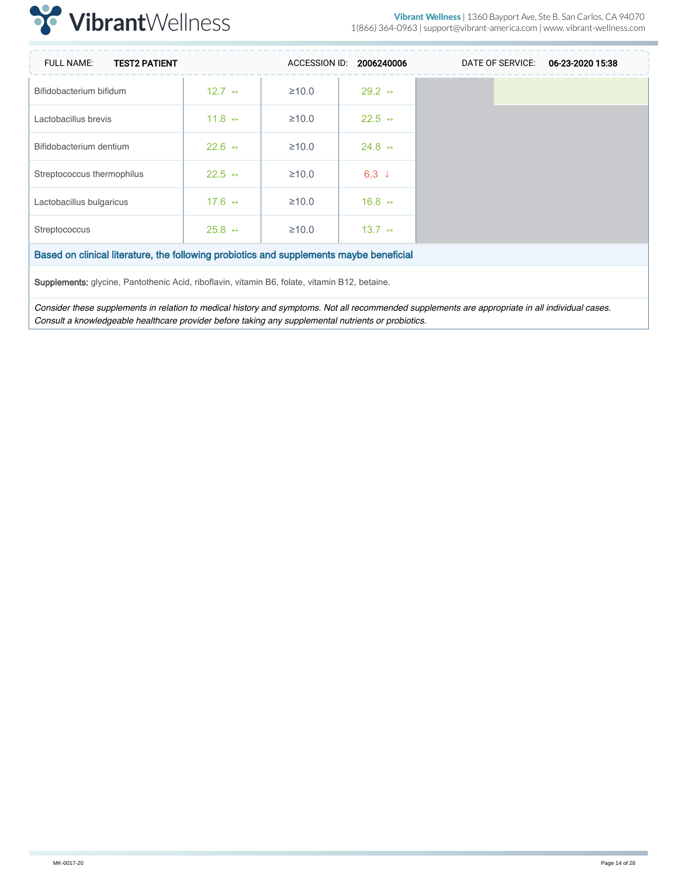

| <b>FULL NAME:</b><br><b>TEST2 PATIENT</b>                                                            |                        | ACCESSION ID: | 2006240006             | DATE OF SERVICE: | 06-23-2020 15:38 |
|------------------------------------------------------------------------------------------------------|------------------------|---------------|------------------------|------------------|------------------|
| Bifidobacterium bifidum                                                                              | 12.7 $\leftrightarrow$ | $\geq 10.0$   | 29.2 $\leftrightarrow$ |                  |                  |
| Lactobacillus brevis                                                                                 | 11.8 $\leftrightarrow$ | $\geq 10.0$   | 22.5 $\leftrightarrow$ |                  |                  |
| Bifidobacterium dentium                                                                              | 22.6 $\leftrightarrow$ | $\geq 10.0$   | 24.8 $\leftrightarrow$ |                  |                  |
| Streptococcus thermophilus                                                                           | 22.5 $\leftrightarrow$ | $\geq 10.0$   | $6.3 \downarrow$       |                  |                  |
| Lactobacillus bulgaricus                                                                             | 17.6 $\leftrightarrow$ | $\geq 10.0$   | 16.8 $\leftrightarrow$ |                  |                  |
| Streptococcus                                                                                        | 25.8 $\leftrightarrow$ | $\geq 10.0$   | 13.7 $\leftrightarrow$ |                  |                  |
| Based on clinical literature, the following probiotics and supplements maybe beneficial              |                        |               |                        |                  |                  |
| <b>Supplements:</b> glycine, Pantothenic Acid, riboflavin, vitamin B6, folate, vitamin B12, betaine. |                        |               |                        |                  |                  |

Consider these supplements in relation to medical history and symptoms. Not all recommended supplements are appropriate in all individual cases. Consult a knowledgeable healthcare provider before taking any supplemental nutrients or probiotics.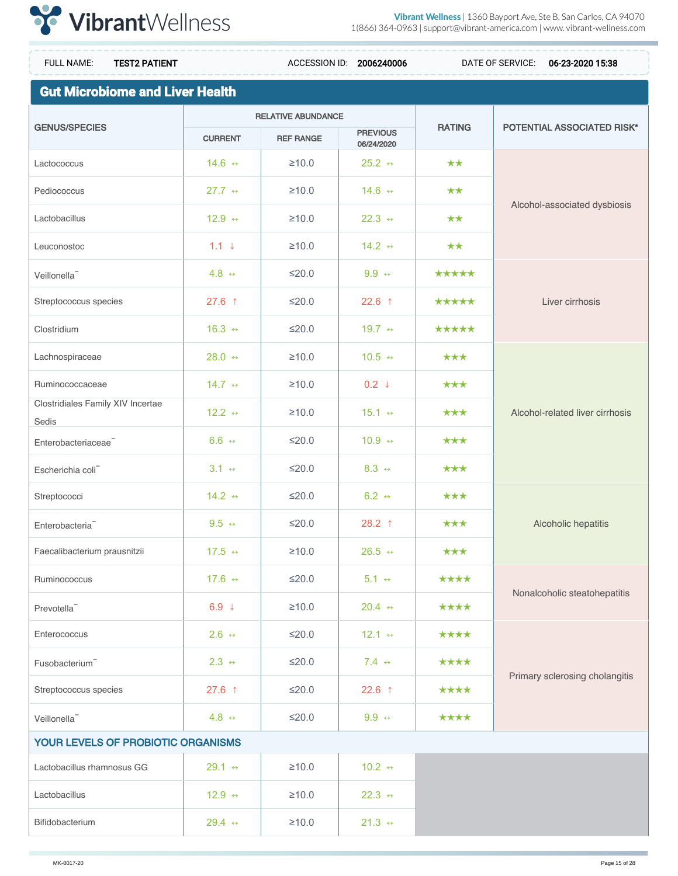

**Gut Microbiome and Liver Health** GENUS/SPECIES RELATIVE ABUNDANCE CURRENT REF RANGE PREVIOUS 06/24/2020 RATING | POTENTIAL ASSOCIATED RISK\* Lactococcus 14.6 ↔ ≥10.0 25.2 ↔ ★★ Alcohol-associated dysbiosis Pediococcus  $\vert$  27.7 ↔  $\vert$  ≥10.0  $\vert$  14.6 ↔  $\star\star$ Lactobacillus 12.9 ↔ ≥10.0 22.3 ↔ ★★ Leuconostoc  $\vert$  1.1 ↓  $\vert$  ≥10.0  $\vert$  14.2 ↔  $\star\star$ Veillonella⁻ 4.8 ↔ ≤20.0 9.9 ↔ ★★★★★ Streptococcus species 27.6 ↑ | ≤20.0 | 27.6 ↑ | ★★★★★ | Liver cirrhosis Clostridium 16.3 ↔ ≤20.0 19.7 ↔ ★★★★★ Lachnospiraceae 28.0 ↔  $\rightarrow$  28.0 ↔  $\rightarrow$  210.0  $\rightarrow$  10.5 ↔  $\rightarrow$   $\star\star\star$ Alcohol-related liver cirrhosis Ruminococcaceae 14.7 ↔  $\geq 10.0$  0.2 ↓  $\star \star \star$ Clostridiales Family XIV Incertae Sedis 12.2 ↔  $\geq 10.0$  15.1 ↔  $\star \star \star$ Enterobacteriaceae⁻ 6.6 ↔ ≤20.0 10.9 ↔ ★★★ Escherichia coli⁻ 3.1 ↔ ≤20.0 8.3 ↔ ★★★ Streptococci  $14.2 \leftrightarrow 14.2 \leftrightarrow 520.0$   $6.2 \leftrightarrow 1$ Enterobacteria⁻ 9.5 ↔ ≤20.0 28.2 ↑ ★★★ Alcoholic hepatitis Faecalibacterium prausnitzii  $17.5 \leftrightarrow$  210.0  $26.5 \leftrightarrow$   $\star \star \star$ Ruminococcus  $17.6 \leftrightarrow 15.1 \leftrightarrow + \star + \star + \star$ Nonalcoholic steatohepatitis Prevotella⁻ 6.9 ↓ ≥10.0 20.4 ↔ ★★★★ Enterococcus  $\vert$  2.6 ↔  $\vert$  ≤20.0  $\vert$  12.1 ↔  $\star \star \star \star$ Primary sclerosing cholangitis Fusobacterium⁻ 2.3 ↔ ≤20.0 7.4 ↔ ★★★★ Streptococcus species 27.6 ↑ ≤20.0 22.6 ↑ ★★★★ Veillonella⁻ 4.8 ↔ ≤20.0 9.9 ↔ ★★★★ YOUR LEVELS OF PROBIOTIC ORGANISMS Lactobacillus rhamnosus GG  $\vert$  29.1 ↔  $\vert$  210.0 10.2 ↔ Lactobacillus  $\vert$  12.9 ↔  $\vert$  210.0  $\vert$  22.3 ↔ Bifidobacterium 29.4 ↔  $\geq 10.0$  21.3 ↔ FULL NAME: TEST2 PATIENT CHECKSION ID: 2006240006 DATE OF SERVICE: 06-23-2020 15:38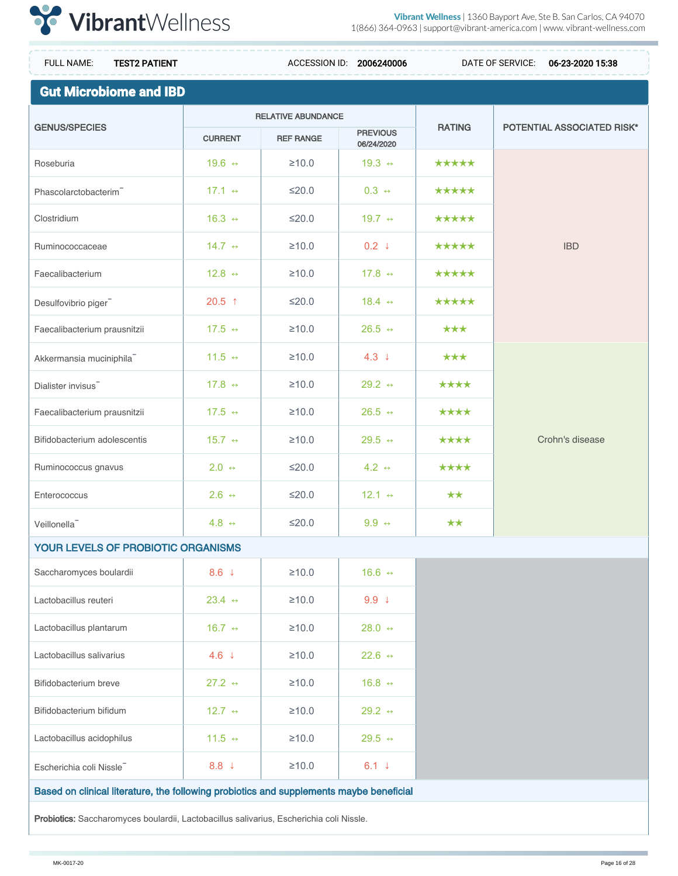

| <b>FULL NAME:</b><br><b>TEST2 PATIENT</b>                                               |                        |                           | ACCESSION ID: 2006240006      |               | DATE OF SERVICE:<br>06-23-2020 15:38 |
|-----------------------------------------------------------------------------------------|------------------------|---------------------------|-------------------------------|---------------|--------------------------------------|
| <b>Gut Microbiome and IBD</b>                                                           |                        |                           |                               |               |                                      |
| <b>GENUS/SPECIES</b>                                                                    |                        | <b>RELATIVE ABUNDANCE</b> |                               | <b>RATING</b> | <b>POTENTIAL ASSOCIATED RISK*</b>    |
|                                                                                         | <b>CURRENT</b>         | <b>REF RANGE</b>          | <b>PREVIOUS</b><br>06/24/2020 |               |                                      |
| Roseburia                                                                               | 19.6 $\leftrightarrow$ | $\geq 10.0$               | 19.3 $\leftrightarrow$        | *****         |                                      |
| Phascolarctobacterim <sup>-</sup>                                                       | 17.1 $\leftrightarrow$ | $≤20.0$                   | $0.3 \leftrightarrow$         | *****         |                                      |
| Clostridium                                                                             | 16.3 $\leftrightarrow$ | $\leq$ 20.0               | 19.7 $\leftrightarrow$        | *****         |                                      |
| Ruminococcaceae                                                                         | 14.7 $\leftrightarrow$ | $\geq 10.0$               | $0.2 \downarrow$              | *****         | <b>IBD</b>                           |
| Faecalibacterium                                                                        | 12.8 $\leftrightarrow$ | ≥10.0                     | 17.8 $\leftrightarrow$        | *****         |                                      |
| Desulfovibrio piger <sup>-</sup>                                                        | 20.5 $\uparrow$        | $\leq$ 20.0               | 18.4 $\leftrightarrow$        | *****         |                                      |
| Faecalibacterium prausnitzii                                                            | 17.5 $\Leftrightarrow$ | $\geq 10.0$               | 26.5 $\leftrightarrow$        | ***           |                                      |
| Akkermansia muciniphila <sup>-</sup>                                                    | 11.5 $\Leftrightarrow$ | ≥10.0                     | $4.3 \downarrow$              | ***           |                                      |
| Dialister invisus <sup>-</sup>                                                          | 17.8 $\leftrightarrow$ | $\geq 10.0$               | 29.2 $\leftrightarrow$        | ****          |                                      |
| Faecalibacterium prausnitzii                                                            | 17.5 $\leftrightarrow$ | ≥10.0                     | 26.5 $\leftrightarrow$        | ****          |                                      |
| Bifidobacterium adolescentis                                                            | 15.7 $\leftrightarrow$ | ≥10.0                     | 29.5 $\leftrightarrow$        | ****          | Crohn's disease                      |
| Ruminococcus gnavus                                                                     | 2.0 $\leftrightarrow$  | $≤20.0$                   | 4.2 $\leftrightarrow$         | ****          |                                      |
| Enterococcus                                                                            | $2.6 \leftrightarrow$  | $\leq$ 20.0               | 12.1 $\leftrightarrow$        | $\star\star$  |                                      |
| Veillonella <sup>-</sup>                                                                | 4.8 $\leftrightarrow$  | $≤20.0$                   | 9.9 $\leftrightarrow$         | $\star\star$  |                                      |
| YOUR LEVELS OF PROBIOTIC ORGANISMS                                                      |                        |                           |                               |               |                                      |
| Saccharomyces boulardii                                                                 | 8.6 $\downarrow$       | $\geq 10.0$               | 16.6 $\leftrightarrow$        |               |                                      |
| Lactobacillus reuteri                                                                   | 23.4 $\leftrightarrow$ | $\geq 10.0$               | $9.9 \downarrow$              |               |                                      |
| Lactobacillus plantarum                                                                 | 16.7 $\leftrightarrow$ | $\geq 10.0$               | 28.0 $\leftrightarrow$        |               |                                      |
| Lactobacillus salivarius                                                                | $4.6 \downarrow$       | $\geq 10.0$               | 22.6 $\leftrightarrow$        |               |                                      |
| Bifidobacterium breve                                                                   | 27.2 $\leftrightarrow$ | $\geq 10.0$               | 16.8 $\leftrightarrow$        |               |                                      |
| Bifidobacterium bifidum                                                                 | 12.7 $\leftrightarrow$ | $\geq 10.0$               | 29.2 $\leftrightarrow$        |               |                                      |
| Lactobacillus acidophilus                                                               | 11.5 $\leftrightarrow$ | $\geq 10.0$               | 29.5 $\leftrightarrow$        |               |                                      |
| Escherichia coli Nissle <sup>-</sup>                                                    | $8.8 \downarrow$       | $\geq 10.0$               | 6.1 $\downarrow$              |               |                                      |
| Based on clinical literature, the following probiotics and supplements maybe beneficial |                        |                           |                               |               |                                      |
| Probiotics: Saccharomyces boulardii, Lactobacillus salivarius, Escherichia coli Nissle. |                        |                           |                               |               |                                      |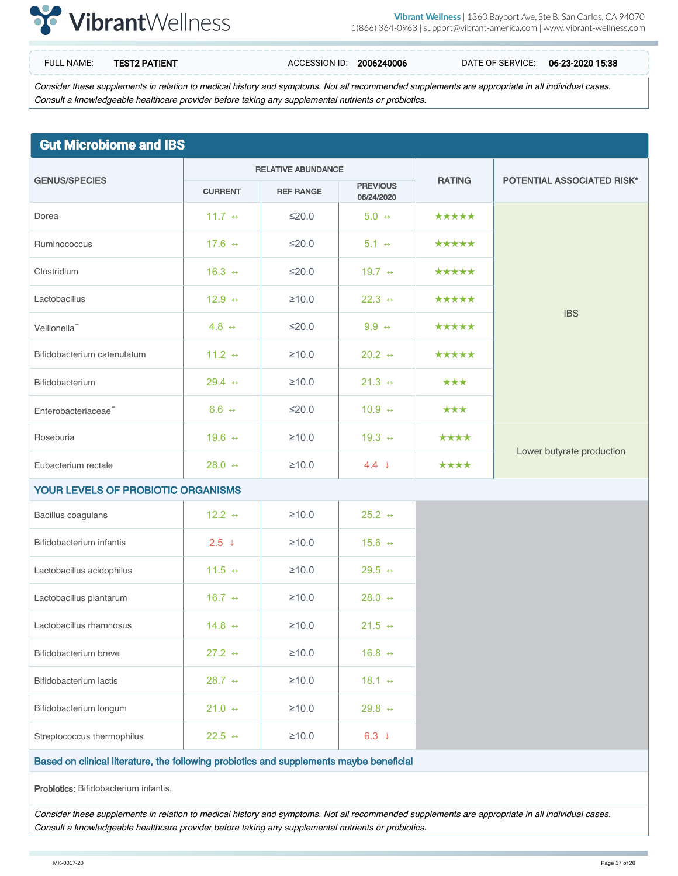

Consider these supplements in relation to medical history and symptoms. Not all recommended supplements are appropriate in all individual cases. Consult a knowledgeable healthcare provider before taking any supplemental nutrients or probiotics.

### **Gut Microbiome and IBS**

|                                    |                        | <b>RELATIVE ABUNDANCE</b>                         |                        |               | <b>POTENTIAL ASSOCIATED RISK*</b> |  |
|------------------------------------|------------------------|---------------------------------------------------|------------------------|---------------|-----------------------------------|--|
| <b>GENUS/SPECIES</b>               | <b>CURRENT</b>         | <b>PREVIOUS</b><br><b>REF RANGE</b><br>06/24/2020 |                        | <b>RATING</b> |                                   |  |
| Dorea                              | 11.7 $\leftrightarrow$ | $\leq$ 20.0                                       | $5.0 \leftrightarrow$  | *****         |                                   |  |
| Ruminococcus                       | 17.6 $\leftrightarrow$ | $\leq$ 20.0                                       | $5.1 \leftrightarrow$  | *****         |                                   |  |
| Clostridium                        | 16.3 $\leftrightarrow$ | ≤20.0                                             | 19.7 $\leftrightarrow$ | *****         |                                   |  |
| Lactobacillus                      | 12.9 $\leftrightarrow$ | $\geq 10.0$                                       | 22.3 $\leftrightarrow$ | *****         |                                   |  |
| Veillonella <sup>-</sup>           | 4.8 $\leftrightarrow$  | $\leq$ 20.0                                       | 9.9 $\leftrightarrow$  | *****         | <b>IBS</b>                        |  |
| Bifidobacterium catenulatum        | 11.2 $\leftrightarrow$ | $\geq 10.0$                                       | 20.2 $\leftrightarrow$ | *****         |                                   |  |
| Bifidobacterium                    | 29.4 $\leftrightarrow$ | $\geq 10.0$                                       | 21.3 $\leftrightarrow$ | ***           |                                   |  |
| Enterobacteriaceae                 | $6.6 \leftrightarrow$  | $\leq 20.0$                                       | 10.9 $\leftrightarrow$ | ***           |                                   |  |
| Roseburia                          | 19.6 $\leftrightarrow$ | $\geq 10.0$                                       | 19.3 $\leftrightarrow$ | ****          |                                   |  |
| Eubacterium rectale                | 28.0 $\leftrightarrow$ | $\geq 10.0$                                       | $4.4 \downarrow$       | ****          | Lower butyrate production         |  |
| YOUR LEVELS OF PROBIOTIC ORGANISMS |                        |                                                   |                        |               |                                   |  |
|                                    |                        |                                                   |                        |               |                                   |  |

| Bacillus coagulans         | 12.2 $\leftrightarrow$ | $\geq 10.0$ | 25.2 $\leftrightarrow$ |
|----------------------------|------------------------|-------------|------------------------|
| Bifidobacterium infantis   | $2.5 \downarrow$       | ≥10.0       | 15.6 $\leftrightarrow$ |
| Lactobacillus acidophilus  | 11.5 $\leftrightarrow$ | $\geq 10.0$ | 29.5 $\leftrightarrow$ |
| Lactobacillus plantarum    | 16.7 $\leftrightarrow$ | ≥10.0       | 28.0 $\leftrightarrow$ |
| Lactobacillus rhamnosus    | 14.8 $\leftrightarrow$ | ≥10.0       | 21.5 $\leftrightarrow$ |
| Bifidobacterium breve      | 27.2 $\leftrightarrow$ | $\geq 10.0$ | 16.8 $\leftrightarrow$ |
| Bifidobacterium lactis     | 28.7 $\leftrightarrow$ | $\geq 10.0$ | 18.1 $\leftrightarrow$ |
| Bifidobacterium longum     | 21.0 $\leftrightarrow$ | ≥10.0       | 29.8 $\leftrightarrow$ |
| Streptococcus thermophilus | 22.5 $\leftrightarrow$ | ≥10.0       | 6.3 $\downarrow$       |

Based on clinical literature, the following probiotics and supplements maybe beneficial

Probiotics: Bifidobacterium infantis.

Consider these supplements in relation to medical history and symptoms. Not all recommended supplements are appropriate in all individual cases. Consult a knowledgeable healthcare provider before taking any supplemental nutrients or probiotics.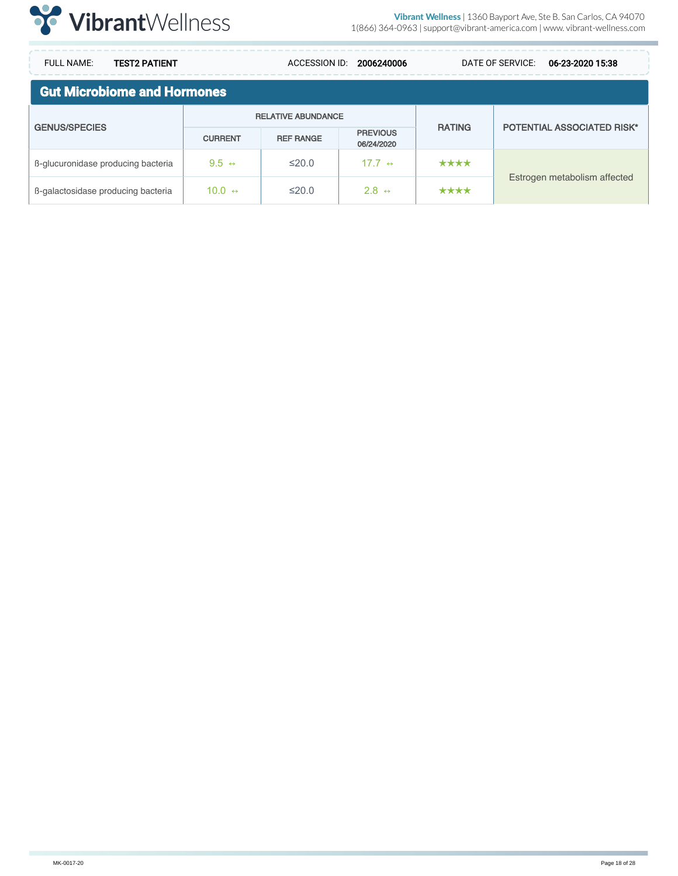

| <b>FULL NAME:</b><br><b>TEST2 PATIENT</b> |                        | ACCESSION ID:             | 2006240006                    |               | DATE OF SERVICE:<br>06-23-2020 15:38 |  |  |
|-------------------------------------------|------------------------|---------------------------|-------------------------------|---------------|--------------------------------------|--|--|
| <b>Gut Microbiome and Hormones</b>        |                        |                           |                               |               |                                      |  |  |
|                                           |                        | <b>RELATIVE ABUNDANCE</b> |                               |               |                                      |  |  |
| <b>GENUS/SPECIES</b>                      | <b>CURRENT</b>         | <b>REF RANGE</b>          | <b>PREVIOUS</b><br>06/24/2020 | <b>RATING</b> | <b>POTENTIAL ASSOCIATED RISK*</b>    |  |  |
| B-glucuronidase producing bacteria        | 9.5 $\leftrightarrow$  | $\leq$ 20.0               | 17.7 $\leftrightarrow$        | ****          |                                      |  |  |
| B-galactosidase producing bacteria        | $10.0 \leftrightarrow$ | $\leq 20.0$               | 2.8 $\leftrightarrow$         | ****          | Estrogen metabolism affected         |  |  |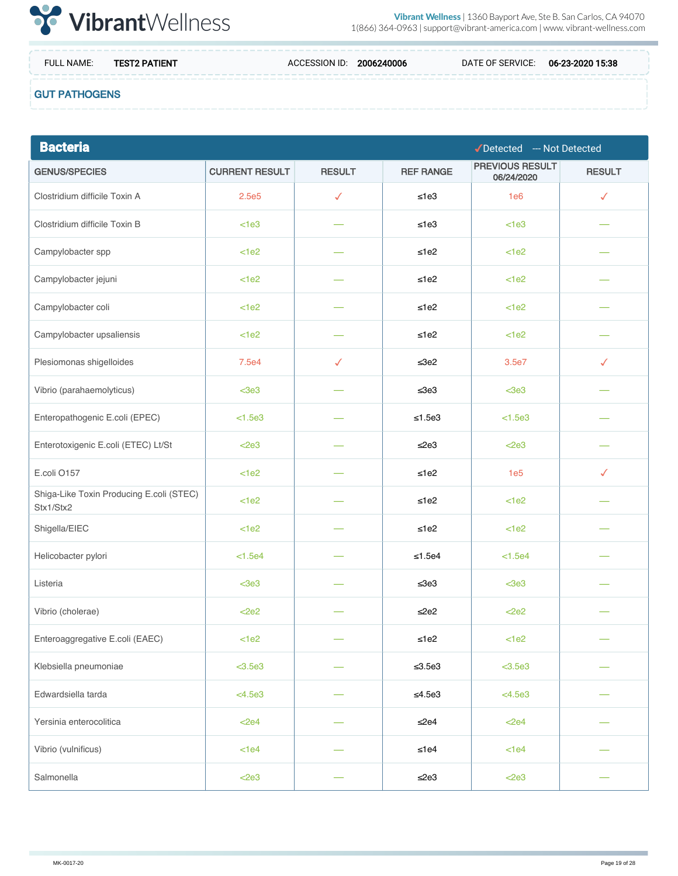

### GUT PATHOGENS

| <b>Bacteria</b>                                       |                       |               |                  | ✔Detected --- Not Detected    |               |
|-------------------------------------------------------|-----------------------|---------------|------------------|-------------------------------|---------------|
| <b>GENUS/SPECIES</b>                                  | <b>CURRENT RESULT</b> | <b>RESULT</b> | <b>REF RANGE</b> | PREVIOUS RESULT<br>06/24/2020 | <b>RESULT</b> |
| Clostridium difficile Toxin A                         | 2.5e5                 | $\checkmark$  | $\leq 1e3$       | 1e6                           | ✓             |
| Clostridium difficile Toxin B                         | <1e3                  |               | $\leq 1e3$       | <1e3                          |               |
| Campylobacter spp                                     | <1e2                  |               | $\leq 1e2$       | <1e2                          |               |
| Campylobacter jejuni                                  | <1e2                  |               | $\leq 1e2$       | <1e2                          |               |
| Campylobacter coli                                    | <1e2                  |               | $\leq 1e2$       | <1e2                          |               |
| Campylobacter upsaliensis                             | <1e2                  |               | $\leq 1e2$       | <1e2                          |               |
| Plesiomonas shigelloides                              | 7.5e4                 | $\checkmark$  | $\leq 3e2$       | 3.5e7                         | $\checkmark$  |
| Vibrio (parahaemolyticus)                             | <3e3                  |               | $\leq 3e3$       | $3e3$                         |               |
| Enteropathogenic E.coli (EPEC)                        | < 1.5e3               |               | $≤1.5e3$         | < 1.5e3                       |               |
| Enterotoxigenic E.coli (ETEC) Lt/St                   | $2e3$                 |               | $\leq$ 2e3       | $2e3$                         |               |
| E.coli O157                                           | <1e2                  |               | $\leq 1e2$       | 1e <sub>5</sub>               | $\checkmark$  |
| Shiga-Like Toxin Producing E.coli (STEC)<br>Stx1/Stx2 | <1e2                  |               | $\leq 1e2$       | <1e2                          |               |
| Shigella/EIEC                                         | <1e2                  |               | $\leq 1e2$       | <1e2                          |               |
| Helicobacter pylori                                   | <1.5e4                |               | $\leq 1.5e4$     | <1.5e4                        |               |
| Listeria                                              | <3e3                  |               | $\leq 3e3$       | <3e3                          |               |
| Vibrio (cholerae)                                     | $2e2$                 |               | $\leq$ 2e2       | $2e2$                         |               |
| Enteroaggregative E.coli (EAEC)                       | <1e2                  |               | $\leq 1e2$       | <1e2                          |               |
| Klebsiella pneumoniae                                 | $3.5e3$               |               | $\leq 3.5e3$     | $<$ 3.5e3                     |               |
| Edwardsiella tarda                                    | < 4.5e3               |               | $\leq 4.5e3$     | < 4.5e3                       |               |
| Yersinia enterocolitica                               | $2e4$                 |               | $\leq 2e4$       | $2e4$                         |               |
| Vibrio (vulnificus)                                   | <1e4                  |               | $\leq 1e4$       | <1e4                          |               |
| Salmonella                                            | $<$ 2e3               |               | $\leq 2e3$       | $2e3$                         |               |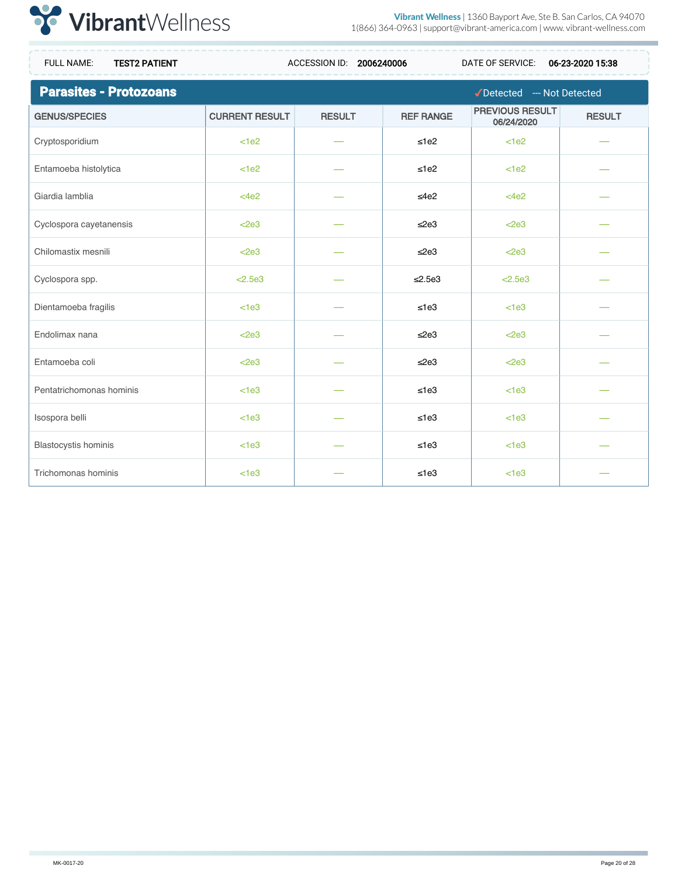

| <b>FULL NAME:</b><br><b>TEST2 PATIENT</b> |                       | ACCESSION ID: 2006240006 |                  | DATE OF SERVICE:                     | 06-23-2020 15:38 |
|-------------------------------------------|-----------------------|--------------------------|------------------|--------------------------------------|------------------|
| <b>Parasites - Protozoans</b>             |                       |                          |                  | ✔Detected --- Not Detected           |                  |
| <b>GENUS/SPECIES</b>                      | <b>CURRENT RESULT</b> | <b>RESULT</b>            | <b>REF RANGE</b> | <b>PREVIOUS RESULT</b><br>06/24/2020 | <b>RESULT</b>    |
| Cryptosporidium                           | <1e2                  |                          | $\leq 1e2$       | <1e2                                 |                  |
| Entamoeba histolytica                     | <1e2                  |                          | $\leq 1e2$       | <1e2                                 |                  |
| Giardia lamblia                           | <4e2                  |                          | $\leq 4e2$       | <4e2                                 |                  |
| Cyclospora cayetanensis                   | $2e3$                 |                          | $\leq 2e3$       | $2e3$                                |                  |
| Chilomastix mesnili                       | $2e3$                 |                          | $\leq$ 2e3       | $2e3$                                |                  |
| Cyclospora spp.                           | < 2.5e3               |                          | $\leq$ 2.5e3     | < 2.5e3                              |                  |
| Dientamoeba fragilis                      | <1e3                  |                          | $\leq 1e3$       | <1e3                                 |                  |
| Endolimax nana                            | $2e3$                 |                          | $\leq 2e3$       | $2e3$                                |                  |
| Entamoeba coli                            | $2e3$                 |                          | $\leq 2e3$       | $2e3$                                |                  |
| Pentatrichomonas hominis                  | <1e3                  |                          | $\leq 1e3$       | <1e3                                 |                  |
| Isospora belli                            | <1e3                  |                          | $\leq 1e3$       | <1e3                                 |                  |
| <b>Blastocystis hominis</b>               | <1e3                  |                          | $\leq 1e3$       | <1e3                                 |                  |
| Trichomonas hominis                       | <1e3                  |                          | $\leq 1e3$       | <1e3                                 |                  |

 $\mathcal{L}_{\mathcal{A}}$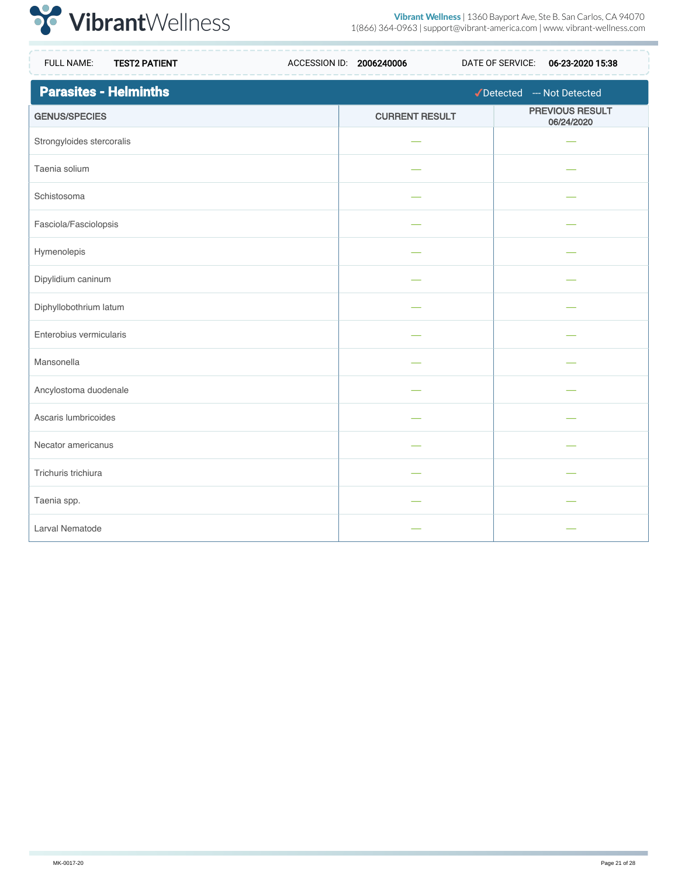

| <b>TEST2 PATIENT</b><br><b>FULL NAME:</b> | ACCESSION ID: 2006240006 | DATE OF SERVICE: 06-23-2020 15:38 |
|-------------------------------------------|--------------------------|-----------------------------------|
| <b>Parasites - Helminths</b>              |                          | ✔Detected --- Not Detected        |
| <b>GENUS/SPECIES</b>                      | <b>CURRENT RESULT</b>    | PREVIOUS RESULT<br>06/24/2020     |
| Strongyloides stercoralis                 |                          |                                   |
| Taenia solium                             |                          |                                   |
| Schistosoma                               |                          |                                   |
| Fasciola/Fasciolopsis                     |                          |                                   |
| Hymenolepis                               |                          |                                   |
| Dipylidium caninum                        |                          |                                   |
| Diphyllobothrium latum                    |                          |                                   |
| Enterobius vermicularis                   |                          |                                   |
| Mansonella                                |                          |                                   |
| Ancylostoma duodenale                     |                          |                                   |
| Ascaris lumbricoides                      |                          |                                   |
| Necator americanus                        |                          |                                   |
| Trichuris trichiura                       |                          |                                   |
| Taenia spp.                               |                          |                                   |
| Larval Nematode                           |                          |                                   |

 $\mathcal{L}_{\mathcal{A}}$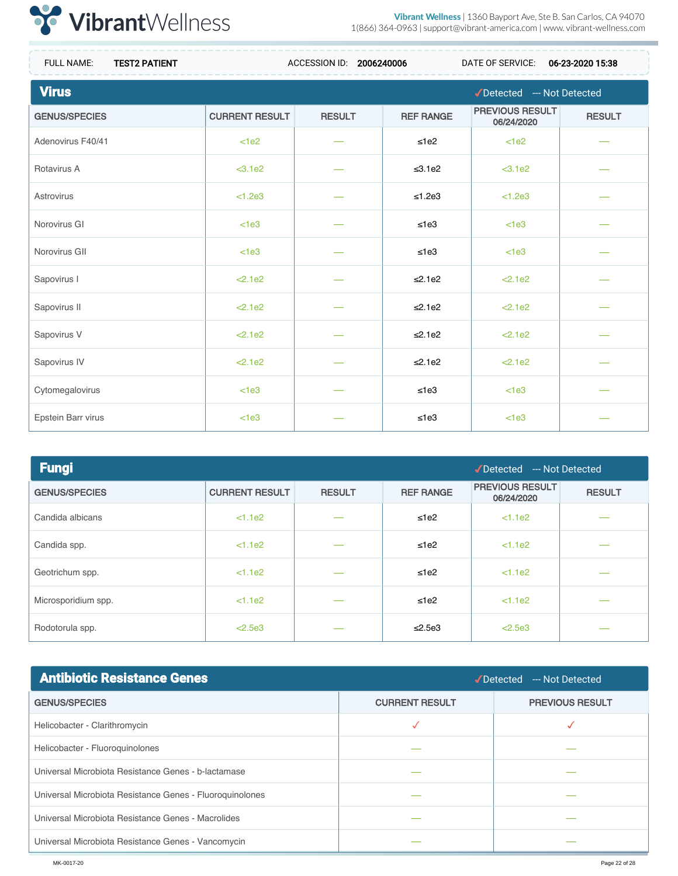

| <b>FULL NAME:</b><br><b>TEST2 PATIENT</b> |                       | ACCESSION ID: 2006240006 |                  | DATE OF SERVICE:              | 06-23-2020 15:38 |
|-------------------------------------------|-----------------------|--------------------------|------------------|-------------------------------|------------------|
| <b>Virus</b>                              |                       |                          |                  | ✔Detected --- Not Detected    |                  |
| <b>GENUS/SPECIES</b>                      | <b>CURRENT RESULT</b> | <b>RESULT</b>            | <b>REF RANGE</b> | PREVIOUS RESULT<br>06/24/2020 | <b>RESULT</b>    |
| Adenovirus F40/41                         | <1e2                  |                          | $\leq 1e2$       | <1e2                          |                  |
| Rotavirus A                               | <3.1e2                |                          | $\leq 3.1e2$     | $3.1e2$                       |                  |
| Astrovirus                                | < 1.2e3               |                          | $≤1.2e3$         | < 1.2e3                       |                  |
| Norovirus GI                              | <1e3                  |                          | $\leq 1e3$       | <1e3                          |                  |
| Norovirus GII                             | <1e3                  |                          | $\leq 1e3$       | <1e3                          |                  |
| Sapovirus I                               | < 2.1e2               |                          | $\leq 2.1e2$     | < 2.1e2                       |                  |
| Sapovirus II                              | 2.1e2                 |                          | $\leq$ 2.1e2     | 2.1e2                         |                  |
| Sapovirus V                               | < 2.1e2               |                          | $\leq$ 2.1e2     | < 2.1e2                       |                  |
| Sapovirus IV                              | < 2.1e2               |                          | $\leq$ 2.1e2     | < 2.1e2                       |                  |
| Cytomegalovirus                           | <1e3                  |                          | $\leq 1e3$       | <1e3                          |                  |
| Epstein Barr virus                        | <1e3                  |                          | $\leq 1e3$       | <1e3                          |                  |

| <b>Fungi</b><br>--- Not Detected<br>$\sqrt{\text{Detected}}$ |                       |               |                  |                                      |               |
|--------------------------------------------------------------|-----------------------|---------------|------------------|--------------------------------------|---------------|
| <b>GENUS/SPECIES</b>                                         | <b>CURRENT RESULT</b> | <b>RESULT</b> | <b>REF RANGE</b> | <b>PREVIOUS RESULT</b><br>06/24/2020 | <b>RESULT</b> |
| Candida albicans                                             | <1.1e2                |               | $\leq 1e2$       | <1.1e2                               |               |
| Candida spp.                                                 | <1.1e2                |               | $\leq 1e2$       | <1.1e2                               |               |
| Geotrichum spp.                                              | <1.1e2                |               | $\leq 1e2$       | <1.1e2                               |               |
| Microsporidium spp.                                          | <1.1e2                |               | $\leq 1e2$       | <1.1e2                               |               |
| Rodotorula spp.                                              | < 2.5e3               |               | $\leq 2.5e3$     | < 2.5e3                              | __            |

| <b>Antibiotic Resistance Genes</b>                       | Detected --- Not Detected |                        |  |  |
|----------------------------------------------------------|---------------------------|------------------------|--|--|
| <b>GENUS/SPECIES</b>                                     | <b>CURRENT RESULT</b>     | <b>PREVIOUS RESULT</b> |  |  |
| Helicobacter - Clarithromycin                            | √                         | √                      |  |  |
| Helicobacter - Fluoroquinolones                          |                           |                        |  |  |
| Universal Microbiota Resistance Genes - b-lactamase      |                           |                        |  |  |
| Universal Microbiota Resistance Genes - Fluoroquinolones |                           |                        |  |  |
| Universal Microbiota Resistance Genes - Macrolides       |                           |                        |  |  |
| Universal Microbiota Resistance Genes - Vancomycin       |                           |                        |  |  |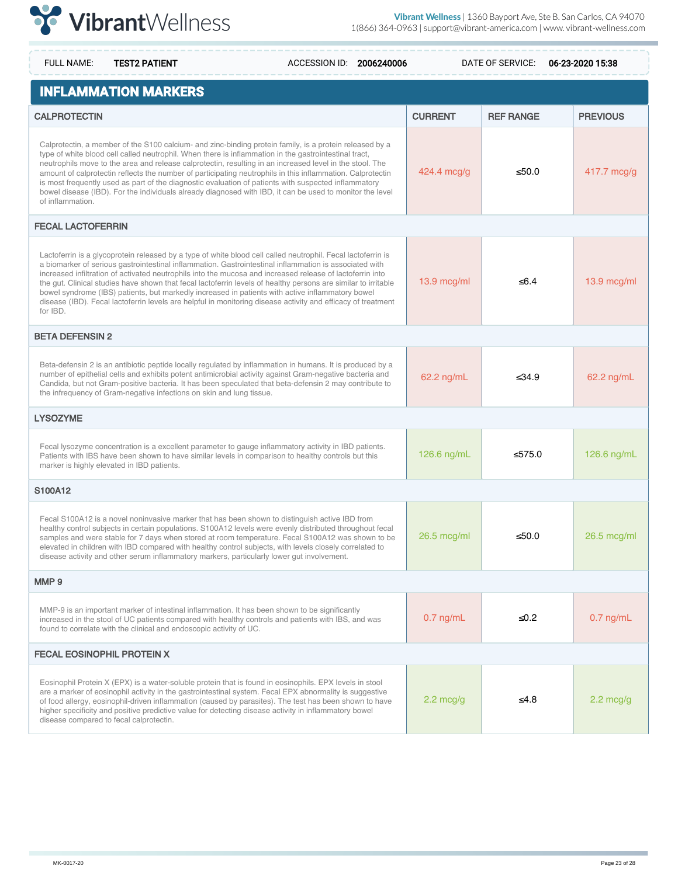

| <b>TEST2 PATIENT</b><br><b>FULL NAME:</b>                                                                                                                                                                                                                                                                                                                                                                                                                                                                                                                                                                                                                                             | ACCESSION ID: 2006240006 |                     | DATE OF SERVICE: | 06-23-2020 15:38    |
|---------------------------------------------------------------------------------------------------------------------------------------------------------------------------------------------------------------------------------------------------------------------------------------------------------------------------------------------------------------------------------------------------------------------------------------------------------------------------------------------------------------------------------------------------------------------------------------------------------------------------------------------------------------------------------------|--------------------------|---------------------|------------------|---------------------|
| <b>INFLAMMATION MARKERS</b>                                                                                                                                                                                                                                                                                                                                                                                                                                                                                                                                                                                                                                                           |                          |                     |                  |                     |
| <b>CALPROTECTIN</b>                                                                                                                                                                                                                                                                                                                                                                                                                                                                                                                                                                                                                                                                   |                          | <b>CURRENT</b>      | <b>REF RANGE</b> | <b>PREVIOUS</b>     |
| Calprotectin, a member of the S100 calcium- and zinc-binding protein family, is a protein released by a<br>type of white blood cell called neutrophil. When there is inflammation in the gastrointestinal tract,<br>neutrophils move to the area and release calprotectin, resulting in an increased level in the stool. The<br>amount of calprotectin reflects the number of participating neutrophils in this inflammation. Calprotectin<br>is most frequently used as part of the diagnostic evaluation of patients with suspected inflammatory<br>bowel disease (IBD). For the individuals already diagnosed with IBD, it can be used to monitor the level<br>of inflammation.    |                          | 424.4 mcg/g         | ≤50.0            | 417.7 mcg/g         |
| FECAL LACTOFERRIN                                                                                                                                                                                                                                                                                                                                                                                                                                                                                                                                                                                                                                                                     |                          |                     |                  |                     |
| Lactoferrin is a glycoprotein released by a type of white blood cell called neutrophil. Fecal lactoferrin is<br>a biomarker of serious gastrointestinal inflammation. Gastrointestinal inflammation is associated with<br>increased infiltration of activated neutrophils into the mucosa and increased release of lactoferrin into<br>the gut. Clinical studies have shown that fecal lactoferrin levels of healthy persons are similar to irritable<br>bowel syndrome (IBS) patients, but markedly increased in patients with active inflammatory bowel<br>disease (IBD). Fecal lactoferrin levels are helpful in monitoring disease activity and efficacy of treatment<br>for IBD. |                          | 13.9 mcg/ml         | ≤6.4             | 13.9 mcg/ml         |
| <b>BETA DEFENSIN 2</b>                                                                                                                                                                                                                                                                                                                                                                                                                                                                                                                                                                                                                                                                |                          |                     |                  |                     |
| Beta-defensin 2 is an antibiotic peptide locally regulated by inflammation in humans. It is produced by a<br>number of epithelial cells and exhibits potent antimicrobial activity against Gram-negative bacteria and<br>Candida, but not Gram-positive bacteria. It has been speculated that beta-defensin 2 may contribute to<br>the infrequency of Gram-negative infections on skin and lung tissue.                                                                                                                                                                                                                                                                               |                          | 62.2 ng/mL          | $\leq 34.9$      | 62.2 ng/mL          |
| <b>LYSOZYME</b>                                                                                                                                                                                                                                                                                                                                                                                                                                                                                                                                                                                                                                                                       |                          |                     |                  |                     |
| Fecal lysozyme concentration is a excellent parameter to gauge inflammatory activity in IBD patients.<br>Patients with IBS have been shown to have similar levels in comparison to healthy controls but this<br>marker is highly elevated in IBD patients.                                                                                                                                                                                                                                                                                                                                                                                                                            |                          | 126.6 ng/mL         | ≤ $575.0$        | 126.6 ng/mL         |
| S100A12                                                                                                                                                                                                                                                                                                                                                                                                                                                                                                                                                                                                                                                                               |                          |                     |                  |                     |
| Fecal S100A12 is a novel noninvasive marker that has been shown to distinguish active IBD from<br>healthy control subjects in certain populations. S100A12 levels were evenly distributed throughout fecal<br>samples and were stable for 7 days when stored at room temperature. Fecal S100A12 was shown to be<br>elevated in children with IBD compared with healthy control subjects, with levels closely correlated to<br>disease activity and other serum inflammatory markers, particularly lower gut involvement.                                                                                                                                                              |                          | 26.5 mcg/ml         | ≤50.0            | 26.5 mcg/ml         |
| MMP <sub>9</sub>                                                                                                                                                                                                                                                                                                                                                                                                                                                                                                                                                                                                                                                                      |                          |                     |                  |                     |
| MMP-9 is an important marker of intestinal inflammation. It has been shown to be significantly<br>increased in the stool of UC patients compared with healthy controls and patients with IBS, and was<br>found to correlate with the clinical and endoscopic activity of UC.                                                                                                                                                                                                                                                                                                                                                                                                          |                          | $0.7$ ng/mL         | ≤0.2             | $0.7$ ng/mL         |
| <b>FECAL EOSINOPHIL PROTEIN X</b>                                                                                                                                                                                                                                                                                                                                                                                                                                                                                                                                                                                                                                                     |                          |                     |                  |                     |
| Eosinophil Protein X (EPX) is a water-soluble protein that is found in eosinophils. EPX levels in stool<br>are a marker of eosinophil activity in the gastrointestinal system. Fecal EPX abnormality is suggestive<br>of food allergy, eosinophil-driven inflammation (caused by parasites). The test has been shown to have<br>higher specificity and positive predictive value for detecting disease activity in inflammatory bowel<br>disease compared to fecal calprotectin.                                                                                                                                                                                                      |                          | $2.2 \text{ mcg/g}$ | ≤4.8             | $2.2 \text{ mcg/g}$ |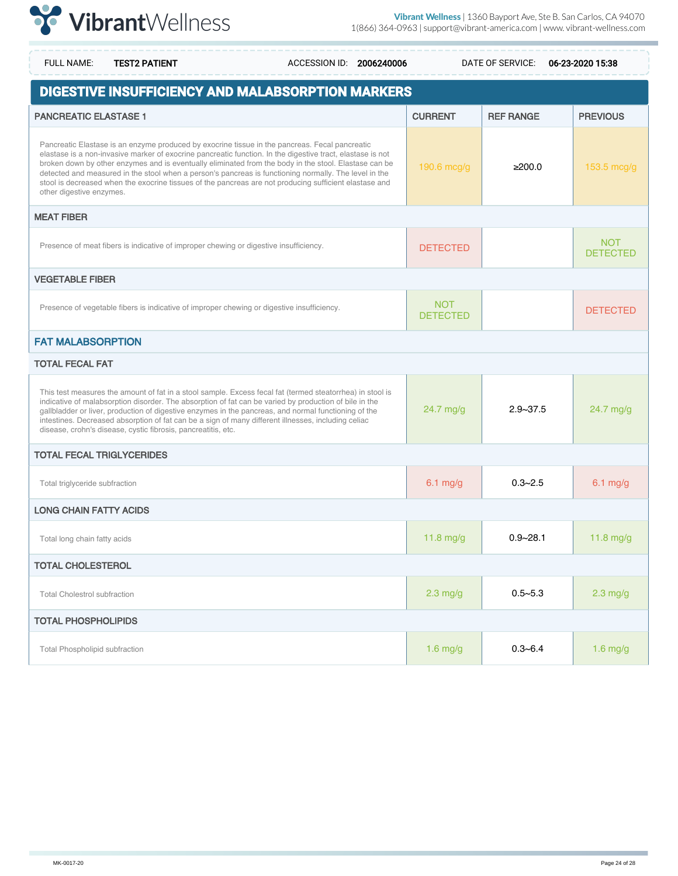

| <b>FULL NAME:</b>                   | <b>TEST2 PATIENT</b>                                                                  | ACCESSION ID: 2006240006                                                                                                                                                                                                                                                                                                                                                                                                                                                                                                                 |                               | DATE OF SERVICE: | 06-23-2020 15:38              |
|-------------------------------------|---------------------------------------------------------------------------------------|------------------------------------------------------------------------------------------------------------------------------------------------------------------------------------------------------------------------------------------------------------------------------------------------------------------------------------------------------------------------------------------------------------------------------------------------------------------------------------------------------------------------------------------|-------------------------------|------------------|-------------------------------|
|                                     |                                                                                       | DIGESTIVE INSUFFICIENCY AND MALABSORPTION MARKERS                                                                                                                                                                                                                                                                                                                                                                                                                                                                                        |                               |                  |                               |
| <b>PANCREATIC ELASTASE 1</b>        |                                                                                       |                                                                                                                                                                                                                                                                                                                                                                                                                                                                                                                                          | <b>CURRENT</b>                | <b>REF RANGE</b> | <b>PREVIOUS</b>               |
| other digestive enzymes.            |                                                                                       | Pancreatic Elastase is an enzyme produced by exocrine tissue in the pancreas. Fecal pancreatic<br>elastase is a non-invasive marker of exocrine pancreatic function. In the digestive tract, elastase is not<br>broken down by other enzymes and is eventually eliminated from the body in the stool. Elastase can be<br>detected and measured in the stool when a person's pancreas is functioning normally. The level in the<br>stool is decreased when the exocrine tissues of the pancreas are not producing sufficient elastase and | 190.6 mcg/g                   | ≥200.0           | 153.5 mcg/g                   |
| <b>MEAT FIBER</b>                   |                                                                                       |                                                                                                                                                                                                                                                                                                                                                                                                                                                                                                                                          |                               |                  |                               |
|                                     | Presence of meat fibers is indicative of improper chewing or digestive insufficiency. |                                                                                                                                                                                                                                                                                                                                                                                                                                                                                                                                          | <b>DETECTED</b>               |                  | <b>NOT</b><br><b>DETECTED</b> |
| <b>VEGETABLE FIBER</b>              |                                                                                       |                                                                                                                                                                                                                                                                                                                                                                                                                                                                                                                                          |                               |                  |                               |
|                                     |                                                                                       | Presence of vegetable fibers is indicative of improper chewing or digestive insufficiency.                                                                                                                                                                                                                                                                                                                                                                                                                                               | <b>NOT</b><br><b>DETECTED</b> |                  | <b>DETECTED</b>               |
| <b>FAT MALABSORPTION</b>            |                                                                                       |                                                                                                                                                                                                                                                                                                                                                                                                                                                                                                                                          |                               |                  |                               |
| <b>TOTAL FECAL FAT</b>              |                                                                                       |                                                                                                                                                                                                                                                                                                                                                                                                                                                                                                                                          |                               |                  |                               |
|                                     | disease, crohn's disease, cystic fibrosis, pancreatitis, etc.                         | This test measures the amount of fat in a stool sample. Excess fecal fat (termed steatorrhea) in stool is<br>indicative of malabsorption disorder. The absorption of fat can be varied by production of bile in the<br>gallbladder or liver, production of digestive enzymes in the pancreas, and normal functioning of the<br>intestines. Decreased absorption of fat can be a sign of many different illnesses, including celiac                                                                                                       | 24.7 mg/g                     | $2.9 - 37.5$     | $24.7$ mg/g                   |
| <b>TOTAL FECAL TRIGLYCERIDES</b>    |                                                                                       |                                                                                                                                                                                                                                                                                                                                                                                                                                                                                                                                          |                               |                  |                               |
| Total triglyceride subfraction      |                                                                                       |                                                                                                                                                                                                                                                                                                                                                                                                                                                                                                                                          | $6.1$ mg/g                    | $0.3 - 2.5$      | $6.1$ mg/g                    |
| <b>LONG CHAIN FATTY ACIDS</b>       |                                                                                       |                                                                                                                                                                                                                                                                                                                                                                                                                                                                                                                                          |                               |                  |                               |
| Total long chain fatty acids        |                                                                                       |                                                                                                                                                                                                                                                                                                                                                                                                                                                                                                                                          | $11.8$ mg/g                   | $0.9 - 28.1$     | $11.8$ mg/g                   |
| <b>TOTAL CHOLESTEROL</b>            |                                                                                       |                                                                                                                                                                                                                                                                                                                                                                                                                                                                                                                                          |                               |                  |                               |
| <b>Total Cholestrol subfraction</b> |                                                                                       |                                                                                                                                                                                                                                                                                                                                                                                                                                                                                                                                          | $2.3$ mg/g                    | $0.5 - 5.3$      | $2.3$ mg/g                    |
| <b>TOTAL PHOSPHOLIPIDS</b>          |                                                                                       |                                                                                                                                                                                                                                                                                                                                                                                                                                                                                                                                          |                               |                  |                               |
| Total Phospholipid subfraction      |                                                                                       |                                                                                                                                                                                                                                                                                                                                                                                                                                                                                                                                          | $1.6$ mg/g                    | $0.3 - 6.4$      | $1.6$ mg/g                    |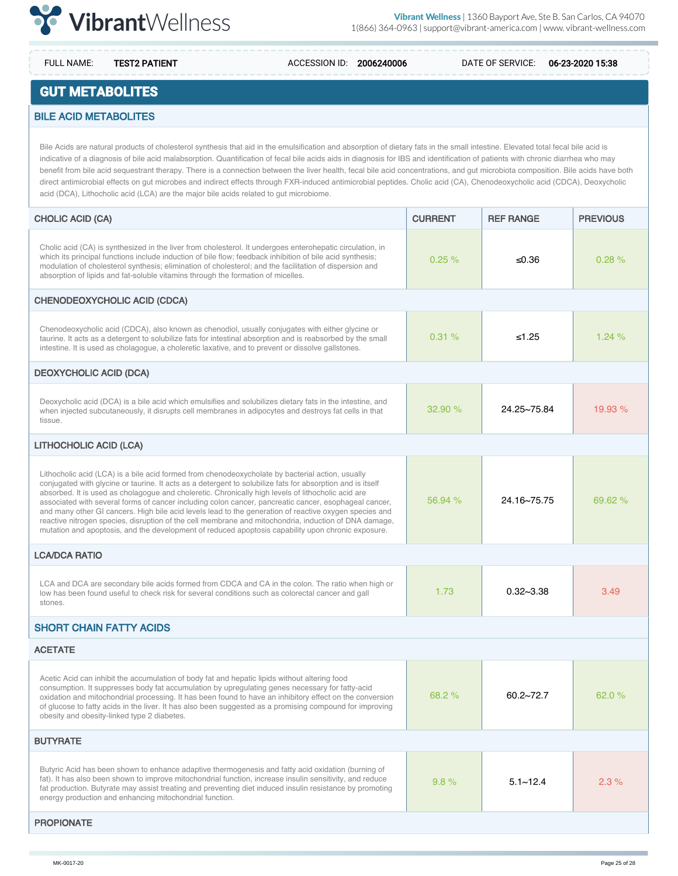

## **GUT METABOLITES**

#### BILE ACID METABOLITES

Bile Acids are natural products of cholesterol synthesis that aid in the emulsification and absorption of dietary fats in the small intestine. Elevated total fecal bile acid is indicative of a diagnosis of bile acid malabsorption. Quantification of fecal bile acids aids in diagnosis for IBS and identification of patients with chronic diarrhea who may benefit from bile acid sequestrant therapy. There is a connection between the liver health, fecal bile acid concentrations, and gut microbiota composition. Bile acids have both direct antimicrobial effects on gut microbes and indirect effects through FXR-induced antimicrobial peptides. Cholic acid (CA), Chenodeoxycholic acid (CDCA), Deoxycholic acid (DCA), Lithocholic acid (LCA) are the major bile acids related to gut microbiome.

| <b>CHOLIC ACID (CA)</b>                                                                                                                                                                                                                                                                                                                                                                                                                                                                                                                                                                                                                                                                                                                                | <b>CURRENT</b> | <b>REF RANGE</b> | <b>PREVIOUS</b> |
|--------------------------------------------------------------------------------------------------------------------------------------------------------------------------------------------------------------------------------------------------------------------------------------------------------------------------------------------------------------------------------------------------------------------------------------------------------------------------------------------------------------------------------------------------------------------------------------------------------------------------------------------------------------------------------------------------------------------------------------------------------|----------------|------------------|-----------------|
| Cholic acid (CA) is synthesized in the liver from cholesterol. It undergoes enterohepatic circulation, in<br>which its principal functions include induction of bile flow; feedback inhibition of bile acid synthesis;<br>modulation of cholesterol synthesis; elimination of cholesterol; and the facilitation of dispersion and<br>absorption of lipids and fat-soluble vitamins through the formation of micelles.                                                                                                                                                                                                                                                                                                                                  | 0.25%          | ≤0.36            | 0.28%           |
| <b>CHENODEOXYCHOLIC ACID (CDCA)</b>                                                                                                                                                                                                                                                                                                                                                                                                                                                                                                                                                                                                                                                                                                                    |                |                  |                 |
| Chenodeoxycholic acid (CDCA), also known as chenodiol, usually conjugates with either glycine or<br>taurine. It acts as a detergent to solubilize fats for intestinal absorption and is reabsorbed by the small<br>intestine. It is used as cholagogue, a choleretic laxative, and to prevent or dissolve gallstones.                                                                                                                                                                                                                                                                                                                                                                                                                                  | 0.31%          | ≤1.25            | 1.24%           |
| <b>DEOXYCHOLIC ACID (DCA)</b>                                                                                                                                                                                                                                                                                                                                                                                                                                                                                                                                                                                                                                                                                                                          |                |                  |                 |
| Deoxycholic acid (DCA) is a bile acid which emulsifies and solubilizes dietary fats in the intestine, and<br>when injected subcutaneously, it disrupts cell membranes in adipocytes and destroys fat cells in that<br>tissue.                                                                                                                                                                                                                                                                                                                                                                                                                                                                                                                          | 32.90%         | 24.25~75.84      | 19.93 %         |
| <b>LITHOCHOLIC ACID (LCA)</b>                                                                                                                                                                                                                                                                                                                                                                                                                                                                                                                                                                                                                                                                                                                          |                |                  |                 |
| Lithocholic acid (LCA) is a bile acid formed from chenodeoxycholate by bacterial action, usually<br>conjugated with glycine or taurine. It acts as a detergent to solubilize fats for absorption and is itself<br>absorbed. It is used as cholagogue and choleretic. Chronically high levels of lithocholic acid are<br>associated with several forms of cancer including colon cancer, pancreatic cancer, esophageal cancer,<br>and many other GI cancers. High bile acid levels lead to the generation of reactive oxygen species and<br>reactive nitrogen species, disruption of the cell membrane and mitochondria, induction of DNA damage,<br>mutation and apoptosis, and the development of reduced apoptosis capability upon chronic exposure. | 56.94 %        | 24.16~75.75      | 69.62 %         |
| <b>LCA/DCA RATIO</b>                                                                                                                                                                                                                                                                                                                                                                                                                                                                                                                                                                                                                                                                                                                                   |                |                  |                 |
| LCA and DCA are secondary bile acids formed from CDCA and CA in the colon. The ratio when high or<br>low has been found useful to check risk for several conditions such as colorectal cancer and gall<br>stones.                                                                                                                                                                                                                                                                                                                                                                                                                                                                                                                                      | 1.73           | $0.32 - 3.38$    | 3.49            |
| <b>SHORT CHAIN FATTY ACIDS</b>                                                                                                                                                                                                                                                                                                                                                                                                                                                                                                                                                                                                                                                                                                                         |                |                  |                 |
| <b>ACETATE</b>                                                                                                                                                                                                                                                                                                                                                                                                                                                                                                                                                                                                                                                                                                                                         |                |                  |                 |
| Acetic Acid can inhibit the accumulation of body fat and hepatic lipids without altering food<br>consumption. It suppresses body fat accumulation by upregulating genes necessary for fatty-acid<br>oxidation and mitochondrial processing. It has been found to have an inhibitory effect on the conversion<br>of glucose to fatty acids in the liver. It has also been suggested as a promising compound for improving<br>obesity and obesity-linked type 2 diabetes.                                                                                                                                                                                                                                                                                | 68.2%          | $60.2 - 72.7$    | 62.0%           |
| <b>BUTYRATE</b>                                                                                                                                                                                                                                                                                                                                                                                                                                                                                                                                                                                                                                                                                                                                        |                |                  |                 |
| Butyric Acid has been shown to enhance adaptive thermogenesis and fatty acid oxidation (burning of<br>fat). It has also been shown to improve mitochondrial function, increase insulin sensitivity, and reduce<br>fat production. Butyrate may assist treating and preventing diet induced insulin resistance by promoting<br>energy production and enhancing mitochondrial function.                                                                                                                                                                                                                                                                                                                                                                  | 9.8%           | $5.1 - 12.4$     | 2.3%            |
| <b>PROPIONATE</b>                                                                                                                                                                                                                                                                                                                                                                                                                                                                                                                                                                                                                                                                                                                                      |                |                  |                 |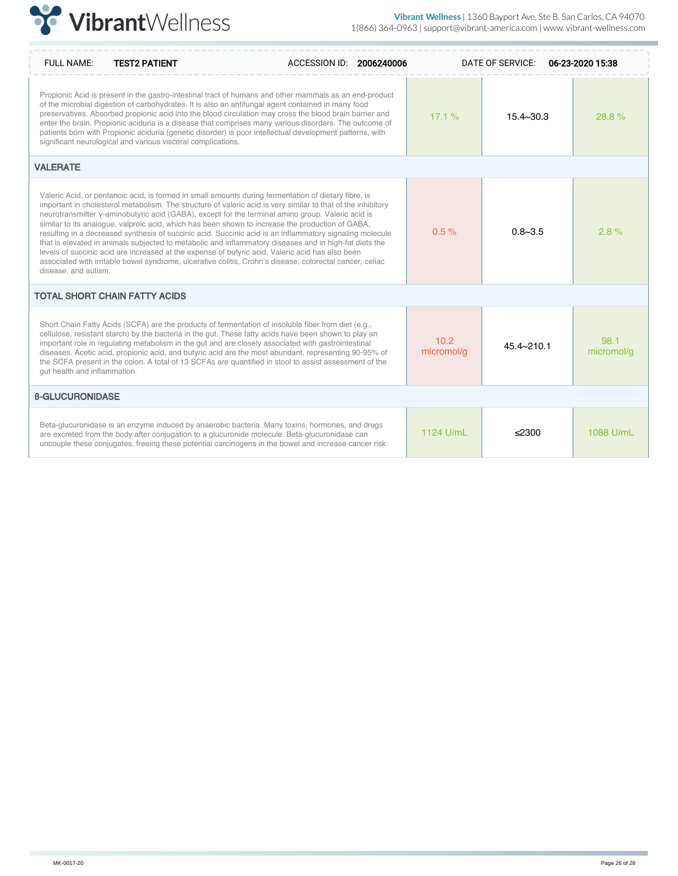

| <b>FULL NAME:</b><br><b>TEST2 PATIENT</b>                    | ACCESSION ID: 2006240006                                                                                                                                                                                                                                                                                                                                                                                                                                                                                                                                                                                                                                                                                                                                                                                                                                            |                    | DATE OF SERVICE: | 06-23-2020 15:38   |
|--------------------------------------------------------------|---------------------------------------------------------------------------------------------------------------------------------------------------------------------------------------------------------------------------------------------------------------------------------------------------------------------------------------------------------------------------------------------------------------------------------------------------------------------------------------------------------------------------------------------------------------------------------------------------------------------------------------------------------------------------------------------------------------------------------------------------------------------------------------------------------------------------------------------------------------------|--------------------|------------------|--------------------|
| significant neurological and various visceral complications. | Propionic Acid is present in the gastro-intestinal tract of humans and other mammals as an end-product<br>of the microbial digestion of carbohydrates. It is also an antifungal agent contained in many food<br>preservatives. Absorbed propionic acid into the blood circulation may cross the blood brain barrier and<br>enter the brain. Propionic aciduria is a disease that comprises many various disorders. The outcome of<br>patients born with Propionic aciduria (genetic disorder) is poor intellectual development patterns, with                                                                                                                                                                                                                                                                                                                       | 17.1%              | $15.4 - 30.3$    | 28.8%              |
| <b>VALERATE</b>                                              |                                                                                                                                                                                                                                                                                                                                                                                                                                                                                                                                                                                                                                                                                                                                                                                                                                                                     |                    |                  |                    |
| disease, and autism.                                         | Valeric Acid, or pentanoic acid, is formed in small amounts during fermentation of dietary fibre, is<br>important in cholesterol metabolism. The structure of valeric acid is very similar to that of the inhibitory<br>neurotransmitter y-aminobutyric acid (GABA), except for the terminal amino group. Valeric acid is<br>similar to its analogue, valproic acid, which has been shown to increase the production of GABA,<br>resulting in a decreased synthesis of succinic acid. Succinic acid is an inflammatory signaling molecule<br>that is elevated in animals subjected to metabolic and inflammatory diseases and in high-fat diets the<br>levels of succinic acid are increased at the expense of butyric acid. Valeric acid has also been<br>associated with irritable bowel syndrome, ulcerative colitis, Crohn's disease, colorectal cancer, celiac | $0.5 \%$           | $0.8 - 3.5$      | 2.8%               |
| <b>TOTAL SHORT CHAIN FATTY ACIDS</b>                         |                                                                                                                                                                                                                                                                                                                                                                                                                                                                                                                                                                                                                                                                                                                                                                                                                                                                     |                    |                  |                    |
| gut health and inflammation.                                 | Short Chain Fatty Acids (SCFA) are the products of fermentation of insoluble fiber from diet (e.g.,<br>cellulose, resistant starch) by the bacteria in the gut. These fatty acids have been shown to play an<br>important role in regulating metabolism in the gut and are closely associated with gastrointestinal<br>diseases. Acetic acid, propionic acid, and butyric acid are the most abundant, representing 90-95% of<br>the SCFA present in the colon. A total of 13 SCFAs are quantified in stool to assist assessment of the                                                                                                                                                                                                                                                                                                                              | 10.2<br>micromol/q | $45.4 - 210.1$   | 98.1<br>micromol/g |
| <b>B-GLUCURONIDASE</b>                                       |                                                                                                                                                                                                                                                                                                                                                                                                                                                                                                                                                                                                                                                                                                                                                                                                                                                                     |                    |                  |                    |
|                                                              | Beta-glucuronidase is an enzyme induced by anaerobic bacteria. Many toxins, hormones, and drugs<br>are excreted from the body after conjugation to a glucuronide molecule. Beta-glucuronidase can<br>uncouple these conjugates, freeing these potential carcinogens in the bowel and increase cancer risk.                                                                                                                                                                                                                                                                                                                                                                                                                                                                                                                                                          | 1124 U/mL          | 2300             | 1088 U/mL          |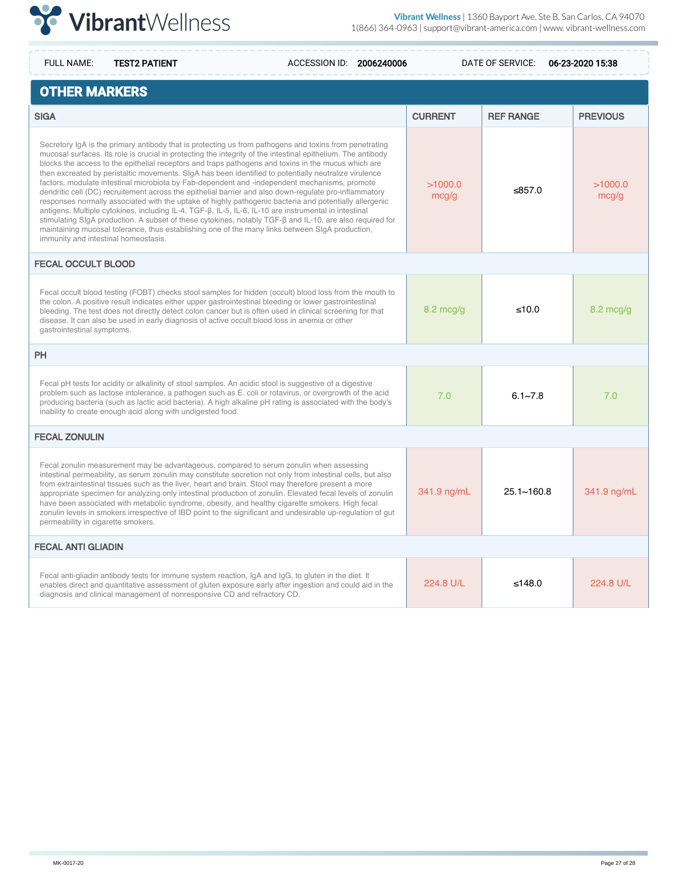

| <b>FULL NAME:</b><br><b>TEST2 PATIENT</b>                                                                                                                                                                                                                                                                                                                                                                                                                                                                                                                                                                                                                                                                                                                                                                                                                                                                                                                                                                                                                                                                                   | ACCESSION ID: 2006240006 |                     | DATE OF SERVICE: | 06-23-2020 15:38    |
|-----------------------------------------------------------------------------------------------------------------------------------------------------------------------------------------------------------------------------------------------------------------------------------------------------------------------------------------------------------------------------------------------------------------------------------------------------------------------------------------------------------------------------------------------------------------------------------------------------------------------------------------------------------------------------------------------------------------------------------------------------------------------------------------------------------------------------------------------------------------------------------------------------------------------------------------------------------------------------------------------------------------------------------------------------------------------------------------------------------------------------|--------------------------|---------------------|------------------|---------------------|
| <b>OTHER MARKERS</b>                                                                                                                                                                                                                                                                                                                                                                                                                                                                                                                                                                                                                                                                                                                                                                                                                                                                                                                                                                                                                                                                                                        |                          |                     |                  |                     |
| <b>SIGA</b>                                                                                                                                                                                                                                                                                                                                                                                                                                                                                                                                                                                                                                                                                                                                                                                                                                                                                                                                                                                                                                                                                                                 |                          | <b>CURRENT</b>      | <b>REF RANGE</b> | <b>PREVIOUS</b>     |
| Secretory IgA is the primary antibody that is protecting us from pathogens and toxins from penetrating<br>mucosal surfaces. Its role is crucial in protecting the integrity of the intestinal epithelium. The antibody<br>blocks the access to the epithelial receptors and traps pathogens and toxins in the mucus which are<br>then excreated by peristaltic movements. SIgA has been identified to potentially neutralize virulence<br>factors, modulate intestinal microbiota by Fab-dependent and -independent mechanisms, promote<br>dendritic cell (DC) recruitement across the epithelial barrier and also down-requlate pro-inflammatory<br>responses normally associated with the uptake of highly pathogenic bacteria and potentially allergenic<br>antigens. Multiple cytokines, including IL-4, TGF-ß, IL-5, IL-6, IL-10 are instrumental in intestinal<br>stimulating SIgA production. A subset of these cytokines, notably TGF-ß and IL-10, are also required for<br>maintaining mucosal tolerance, thus establishing one of the many links between SIgA production,<br>immunity and intestinal homeostasis. |                          | >1000.0<br>mcg/g    | ≤ $857.0$        | >1000.0<br>mcg/g    |
| <b>FECAL OCCULT BLOOD</b>                                                                                                                                                                                                                                                                                                                                                                                                                                                                                                                                                                                                                                                                                                                                                                                                                                                                                                                                                                                                                                                                                                   |                          |                     |                  |                     |
| Fecal occult blood testing (FOBT) checks stool samples for hidden (occult) blood loss from the mouth to<br>the colon. A positive result indicates either upper gastrointestinal bleeding or lower gastrointestinal<br>bleeding. The test does not directly detect colon cancer but is often used in clinical screening for that<br>disease. It can also be used in early diagnosis of active occult blood loss in anemia or other<br>gastrointestinal symptoms.                                                                                                                                                                                                                                                                                                                                                                                                                                                                                                                                                                                                                                                             |                          | $8.2 \text{ mcg/g}$ | ≤10.0            | $8.2 \text{ mcg/g}$ |
| <b>PH</b>                                                                                                                                                                                                                                                                                                                                                                                                                                                                                                                                                                                                                                                                                                                                                                                                                                                                                                                                                                                                                                                                                                                   |                          |                     |                  |                     |
| Fecal pH tests for acidity or alkalinity of stool samples. An acidic stool is suggestive of a digestive<br>problem such as lactose intolerance, a pathogen such as E. coli or rotavirus, or overgrowth of the acid<br>producing bacteria (such as lactic acid bacteria). A high alkaline pH rating is associated with the body's<br>inability to create enough acid along with undigested food.                                                                                                                                                                                                                                                                                                                                                                                                                                                                                                                                                                                                                                                                                                                             |                          | 7.0                 | $6.1 - 7.8$      | 7.0                 |
| <b>FECAL ZONULIN</b>                                                                                                                                                                                                                                                                                                                                                                                                                                                                                                                                                                                                                                                                                                                                                                                                                                                                                                                                                                                                                                                                                                        |                          |                     |                  |                     |
| Fecal zonulin measurement may be advantageous, compared to serum zonulin when assessing<br>intestinal permeability, as serum zonulin may constitute secretion not only from intestinal cells, but also<br>from extraintestinal tissues such as the liver, heart and brain. Stool may therefore present a more<br>appropriate specimen for analyzing only intestinal production of zonulin. Elevated fecal levels of zonulin<br>have been associated with metabolic syndrome, obesity, and healthy cigarette smokers. High fecal<br>zonulin levels in smokers irrespective of IBD point to the significant and undesirable up-regulation of gut<br>permeability in cigarette smokers.                                                                                                                                                                                                                                                                                                                                                                                                                                        |                          | 341.9 ng/mL         | $25.1 - 160.8$   | 341.9 ng/mL         |
| <b>FECAL ANTI GLIADIN</b>                                                                                                                                                                                                                                                                                                                                                                                                                                                                                                                                                                                                                                                                                                                                                                                                                                                                                                                                                                                                                                                                                                   |                          |                     |                  |                     |
| Fecal anti-gliadin antibody tests for immune system reaction, IgA and IgG, to gluten in the diet. It<br>enables direct and quantitative assessment of gluten exposure early after ingestion and could aid in the<br>diagnosis and clinical management of nonresponsive CD and refractory CD.                                                                                                                                                                                                                                                                                                                                                                                                                                                                                                                                                                                                                                                                                                                                                                                                                                |                          | 224.8 U/L           | ≤148.0           | 224.8 U/L           |